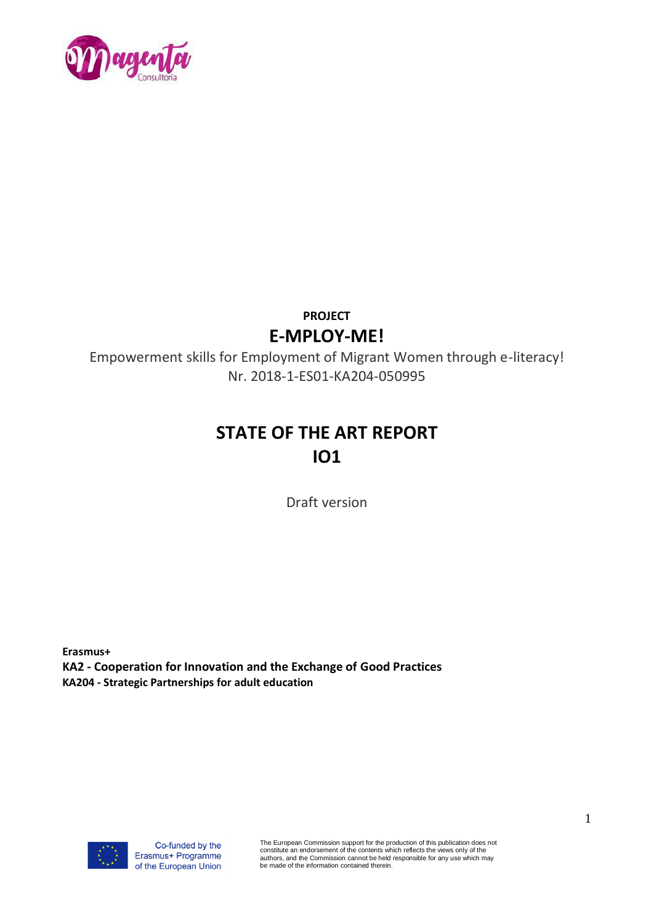

# **PROJECT E-MPLOY-ME!**

Empowerment skills for Employment of Migrant Women through e-literacy! Nr. 2018-1-ES01-KA204-050995

# **STATE OF THE ART REPORT IO1**

Draft version

**Erasmus+ KA2 - Cooperation for Innovation and the Exchange of Good Practices KA204 - Strategic Partnerships for adult education** 



The European Commission support for the production of this publication does not constitute an endorsement of the contents which reflects the views only of the authors, and the Commission cannot be held responsible for any use which may be made of the information contained therein.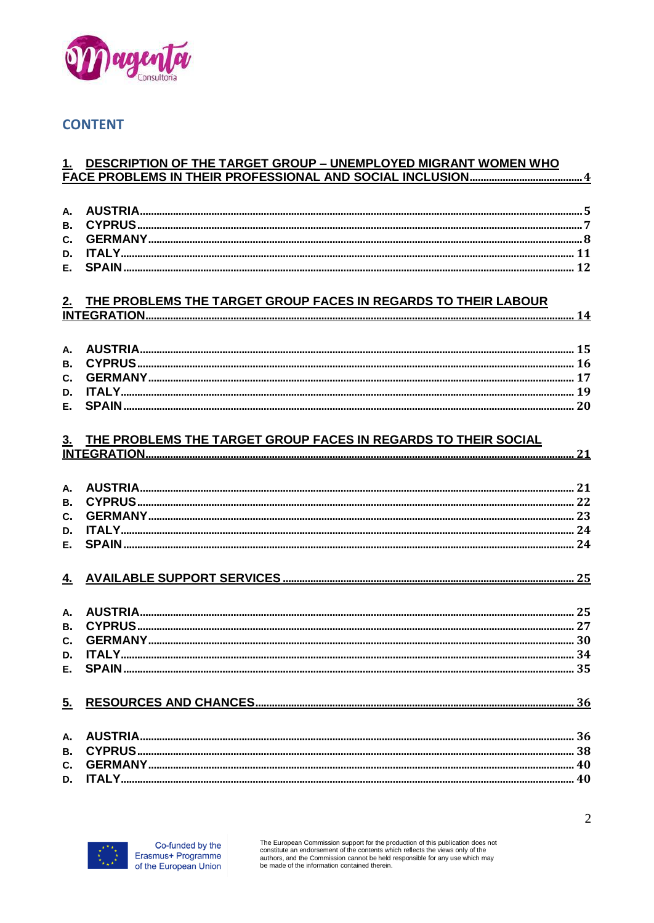

#### **CONTENT**

#### 1. DESCRIPTION OF THE TARGET GROUP - UNEMPLOYED MIGRANT WOMEN WHO

| В.        |                                                                |  |
|-----------|----------------------------------------------------------------|--|
| C.        |                                                                |  |
| D.        |                                                                |  |
| E.        |                                                                |  |
|           |                                                                |  |
| 2.        | THE PROBLEMS THE TARGET GROUP FACES IN REGARDS TO THEIR LABOUR |  |
|           |                                                                |  |
| A.        |                                                                |  |
| B.        |                                                                |  |
| C.        |                                                                |  |
| D.        |                                                                |  |
| E.        |                                                                |  |
|           |                                                                |  |
|           |                                                                |  |
| 3.        | THE PROBLEMS THE TARGET GROUP FACES IN REGARDS TO THEIR SOCIAL |  |
|           |                                                                |  |
|           |                                                                |  |
| A.        |                                                                |  |
| B.        |                                                                |  |
| C.        |                                                                |  |
| D.        |                                                                |  |
| E.        |                                                                |  |
|           |                                                                |  |
| <u>4.</u> |                                                                |  |
|           |                                                                |  |
| A.        |                                                                |  |
| B.        |                                                                |  |
| C.        |                                                                |  |
| D.        |                                                                |  |
| Е.        |                                                                |  |
|           |                                                                |  |
| <u>5.</u> |                                                                |  |
|           |                                                                |  |
| А.        |                                                                |  |
| В.        |                                                                |  |
| C.        |                                                                |  |
| D.        |                                                                |  |
|           |                                                                |  |



The European Commission support for the production of this publication does not constitute an endorsement of the contents which reflects the views only of the<br>authors, and the Commission cannot be held responsible for any use which may<br>be made of the information contained therein.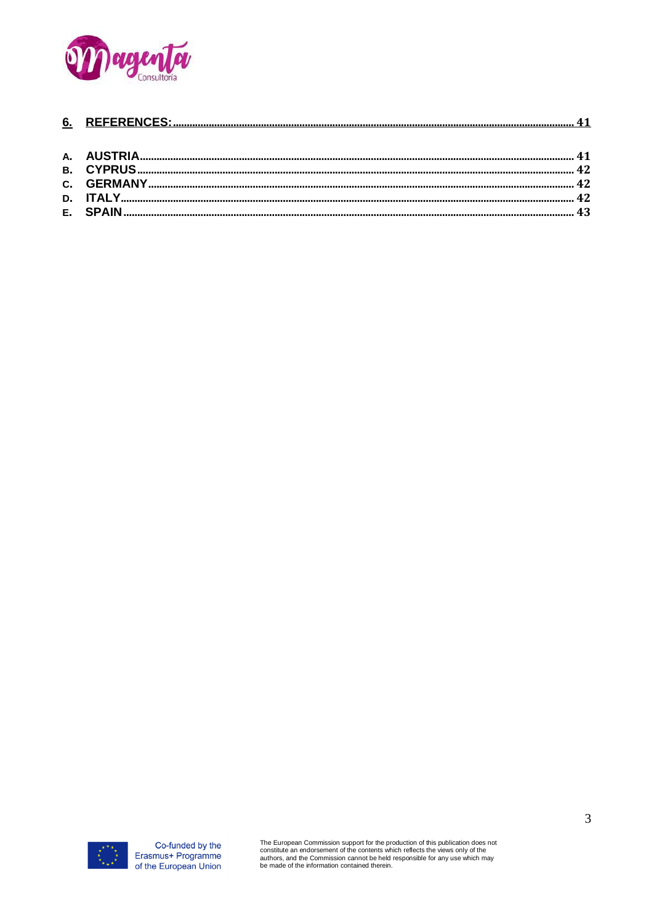

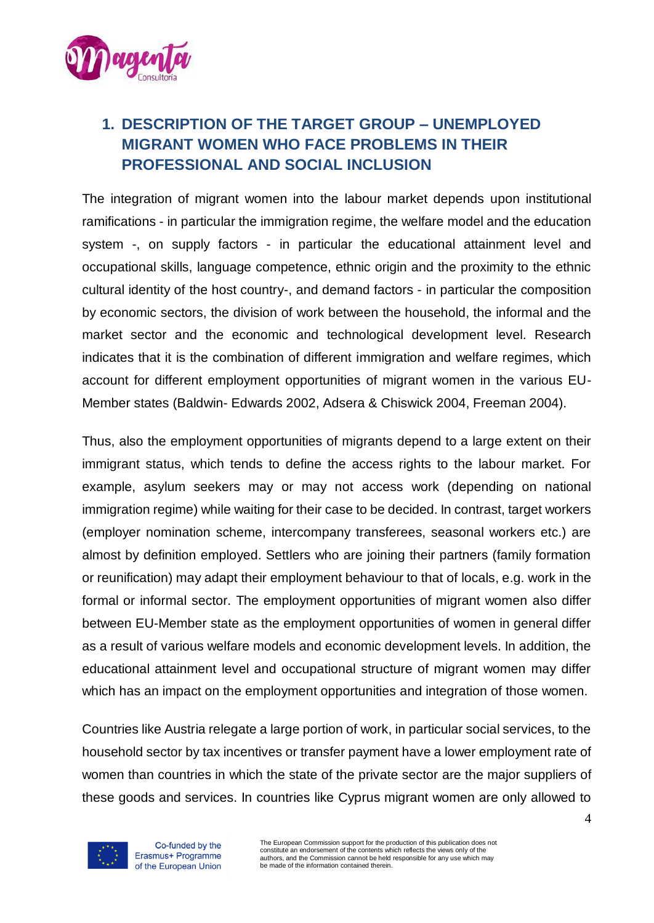

# <span id="page-3-0"></span>**1. DESCRIPTION OF THE TARGET GROUP – UNEMPLOYED MIGRANT WOMEN WHO FACE PROBLEMS IN THEIR PROFESSIONAL AND SOCIAL INCLUSION**

The integration of migrant women into the labour market depends upon institutional ramifications - in particular the immigration regime, the welfare model and the education system -, on supply factors - in particular the educational attainment level and occupational skills, language competence, ethnic origin and the proximity to the ethnic cultural identity of the host country-, and demand factors - in particular the composition by economic sectors, the division of work between the household, the informal and the market sector and the economic and technological development level. Research indicates that it is the combination of different immigration and welfare regimes, which account for different employment opportunities of migrant women in the various EU-Member states (Baldwin- Edwards 2002, Adsera & Chiswick 2004, Freeman 2004).

Thus, also the employment opportunities of migrants depend to a large extent on their immigrant status, which tends to define the access rights to the labour market. For example, asylum seekers may or may not access work (depending on national immigration regime) while waiting for their case to be decided. In contrast, target workers (employer nomination scheme, intercompany transferees, seasonal workers etc.) are almost by definition employed. Settlers who are joining their partners (family formation or reunification) may adapt their employment behaviour to that of locals, e.g. work in the formal or informal sector. The employment opportunities of migrant women also differ between EU-Member state as the employment opportunities of women in general differ as a result of various welfare models and economic development levels. In addition, the educational attainment level and occupational structure of migrant women may differ which has an impact on the employment opportunities and integration of those women.

Countries like Austria relegate a large portion of work, in particular social services, to the household sector by tax incentives or transfer payment have a lower employment rate of women than countries in which the state of the private sector are the major suppliers of these goods and services. In countries like Cyprus migrant women are only allowed to

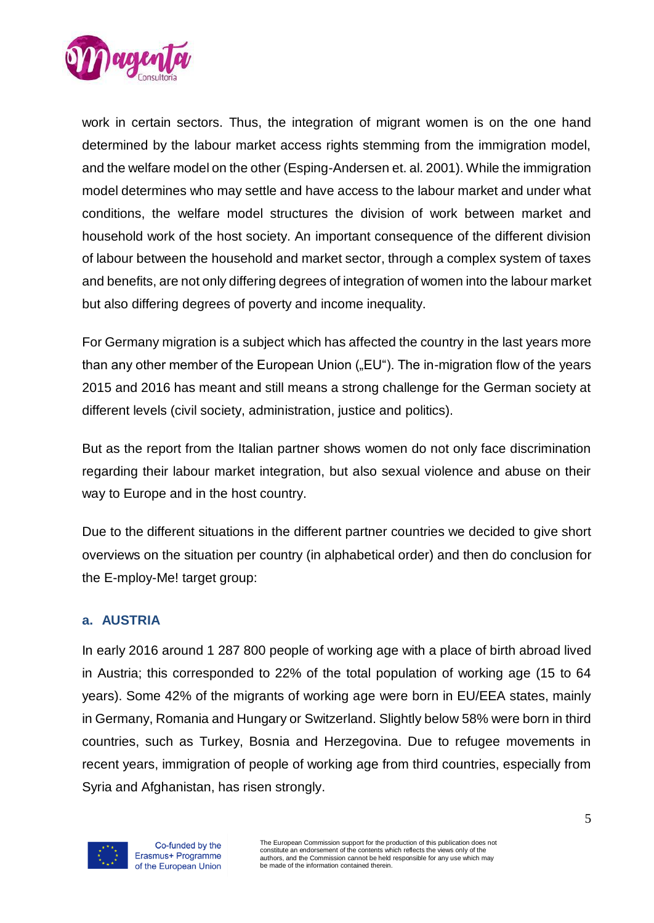

work in certain sectors. Thus, the integration of migrant women is on the one hand determined by the labour market access rights stemming from the immigration model, and the welfare model on the other (Esping-Andersen et. al. 2001). While the immigration model determines who may settle and have access to the labour market and under what conditions, the welfare model structures the division of work between market and household work of the host society. An important consequence of the different division of labour between the household and market sector, through a complex system of taxes and benefits, are not only differing degrees of integration of women into the labour market but also differing degrees of poverty and income inequality.

For Germany migration is a subject which has affected the country in the last years more than any other member of the European Union ("EU"). The in-migration flow of the years 2015 and 2016 has meant and still means a strong challenge for the German society at different levels (civil society, administration, justice and politics).

But as the report from the Italian partner shows women do not only face discrimination regarding their labour market integration, but also sexual violence and abuse on their way to Europe and in the host country.

Due to the different situations in the different partner countries we decided to give short overviews on the situation per country (in alphabetical order) and then do conclusion for the E-mploy-Me! target group:

### <span id="page-4-0"></span>**a. AUSTRIA**

In early 2016 around 1 287 800 people of working age with a place of birth abroad lived in Austria; this corresponded to 22% of the total population of working age (15 to 64 years). Some 42% of the migrants of working age were born in EU/EEA states, mainly in Germany, Romania and Hungary or Switzerland. Slightly below 58% were born in third countries, such as Turkey, Bosnia and Herzegovina. Due to refugee movements in recent years, immigration of people of working age from third countries, especially from Syria and Afghanistan, has risen strongly.



Co-funded by the Erasmus+ Programme of the European Union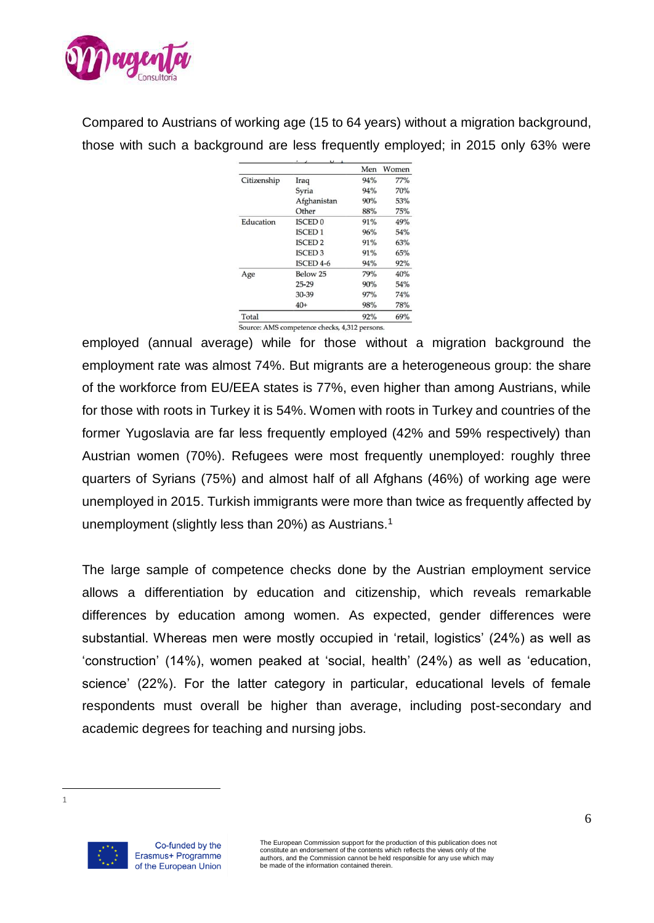

Compared to Austrians of working age (15 to 64 years) without a migration background, those with such a background are less frequently employed; in 2015 only 63% were

|             |                      | Men | Women |
|-------------|----------------------|-----|-------|
| Citizenship | Iraq                 | 94% | 77%   |
|             | Syria                | 94% | 70%   |
|             | Afghanistan          | 90% | 53%   |
|             | Other                | 88% | 75%   |
| Education   | <b>ISCED 0</b>       | 91% | 49%   |
|             | <b>ISCED1</b>        | 96% | 54%   |
|             | <b>ISCED 2</b>       | 91% | 63%   |
|             | <b>ISCED 3</b>       | 91% | 65%   |
|             | ISCED <sub>4-6</sub> | 94% | 92%   |
| Age         | Below 25             | 79% | 40%   |
|             | $25 - 29$            | 90% | 54%   |
|             | 30-39                | 97% | 74%   |
|             | $40+$                | 98% | 78%   |
| Total       |                      | 92% | 69%   |

employed (annual average) while for those without a migration background the employment rate was almost 74%. But migrants are a heterogeneous group: the share of the workforce from EU/EEA states is 77%, even higher than among Austrians, while for those with roots in Turkey it is 54%. Women with roots in Turkey and countries of the former Yugoslavia are far less frequently employed (42% and 59% respectively) than Austrian women (70%). Refugees were most frequently unemployed: roughly three quarters of Syrians (75%) and almost half of all Afghans (46%) of working age were unemployed in 2015. Turkish immigrants were more than twice as frequently affected by unemployment (slightly less than 20%) as Austrians.<sup>1</sup>

The large sample of competence checks done by the Austrian employment service allows a differentiation by education and citizenship, which reveals remarkable differences by education among women. As expected, gender differences were substantial. Whereas men were mostly occupied in 'retail, logistics' (24%) as well as 'construction' (14%), women peaked at 'social, health' (24%) as well as 'education, science' (22%). For the latter category in particular, educational levels of female respondents must overall be higher than average, including post-secondary and academic degrees for teaching and nursing jobs.

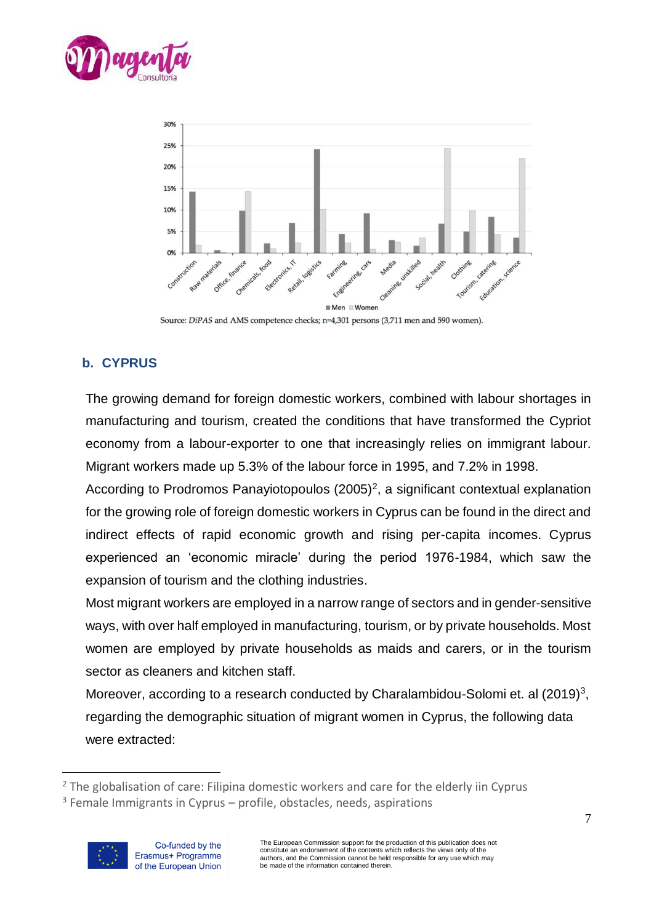



Source: DiPAS and AMS competence checks; n=4,301 persons (3,711 men and 590 women).

# <span id="page-6-0"></span>**b. CYPRUS**

The growing demand for foreign domestic workers, combined with labour shortages in manufacturing and tourism, created the conditions that have transformed the Cypriot economy from a labour-exporter to one that increasingly relies on immigrant labour. Migrant workers made up 5.3% of the labour force in 1995, and 7.2% in 1998.

According to Prodromos Panayiotopoulos (2005)<sup>2</sup>, a significant contextual explanation for the growing role of foreign domestic workers in Cyprus can be found in the direct and indirect effects of rapid economic growth and rising per-capita incomes. Cyprus experienced an 'economic miracle' during the period 1976-1984, which saw the expansion of tourism and the clothing industries.

Most migrant workers are employed in a narrow range of sectors and in gender-sensitive ways, with over half employed in manufacturing, tourism, or by private households. Most women are employed by private households as maids and carers, or in the tourism sector as cleaners and kitchen staff.

Moreover, according to a research conducted by Charalambidou-Solomi et. al (2019)<sup>3</sup>, regarding the demographic situation of migrant women in Cyprus, the following data were extracted:

 $3$  Female Immigrants in Cyprus – profile, obstacles, needs, aspirations



<sup>&</sup>lt;sup>2</sup> The globalisation of care: Filipina domestic workers and care for the elderly iin Cyprus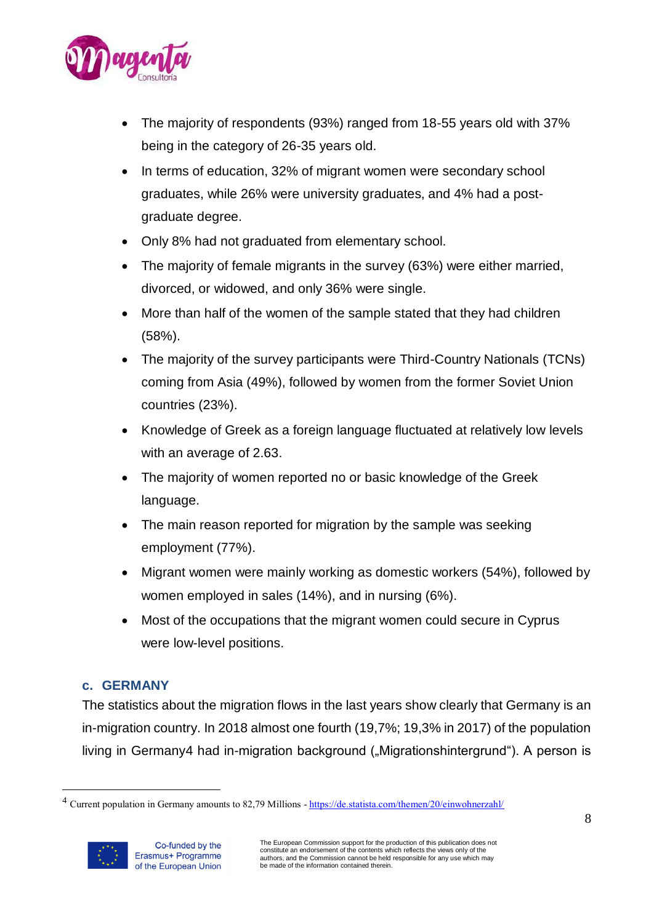

- The majority of respondents (93%) ranged from 18-55 years old with 37% being in the category of 26-35 years old.
- In terms of education, 32% of migrant women were secondary school graduates, while 26% were university graduates, and 4% had a postgraduate degree.
- Only 8% had not graduated from elementary school.
- The majority of female migrants in the survey (63%) were either married, divorced, or widowed, and only 36% were single.
- More than half of the women of the sample stated that they had children (58%).
- The majority of the survey participants were Third-Country Nationals (TCNs) coming from Asia (49%), followed by women from the former Soviet Union countries (23%).
- Knowledge of Greek as a foreign language fluctuated at relatively low levels with an average of 2.63.
- The majority of women reported no or basic knowledge of the Greek language.
- The main reason reported for migration by the sample was seeking employment (77%).
- Migrant women were mainly working as domestic workers (54%), followed by women employed in sales (14%), and in nursing (6%).
- Most of the occupations that the migrant women could secure in Cyprus were low-level positions.

# <span id="page-7-0"></span>**c. GERMANY**

The statistics about the migration flows in the last years show clearly that Germany is an in-migration country. In 2018 almost one fourth (19,7%; 19,3% in 2017) of the population living in Germany4 had in-migration background ("Migrationshintergrund"). A person is

<sup>&</sup>lt;sup>4</sup> Current population in Germany amounts to 82,79 Millions - <https://de.statista.com/themen/20/einwohnerzahl/>

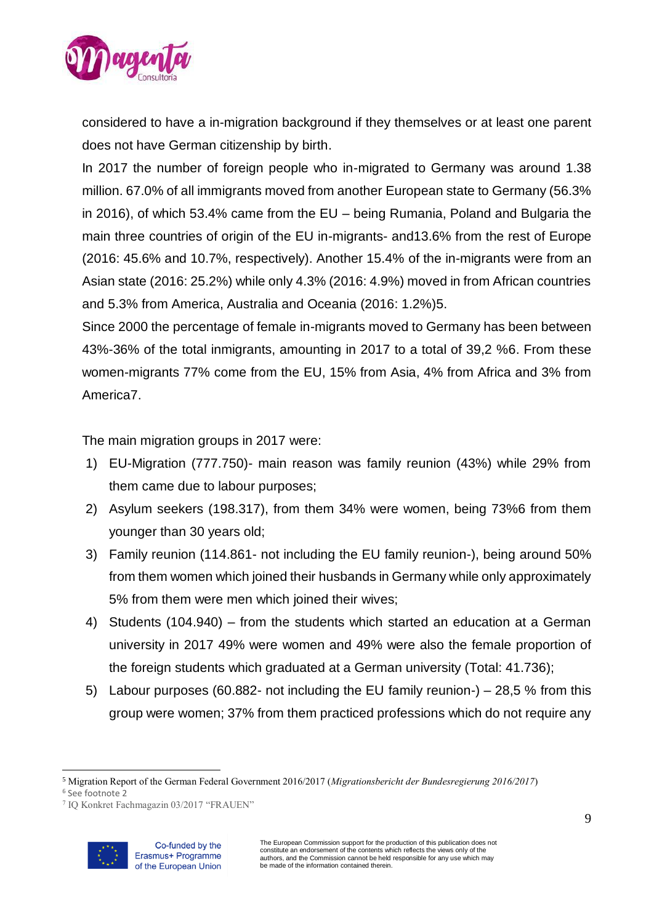

considered to have a in-migration background if they themselves or at least one parent does not have German citizenship by birth.

In 2017 the number of foreign people who in-migrated to Germany was around 1.38 million. 67.0% of all immigrants moved from another European state to Germany (56.3% in 2016), of which 53.4% came from the EU – being Rumania, Poland and Bulgaria the main three countries of origin of the EU in-migrants- and13.6% from the rest of Europe (2016: 45.6% and 10.7%, respectively). Another 15.4% of the in-migrants were from an Asian state (2016: 25.2%) while only 4.3% (2016: 4.9%) moved in from African countries and 5.3% from America, Australia and Oceania (2016: 1.2%)5.

Since 2000 the percentage of female in-migrants moved to Germany has been between 43%-36% of the total inmigrants, amounting in 2017 to a total of 39,2 %6. From these women-migrants 77% come from the EU, 15% from Asia, 4% from Africa and 3% from America7.

The main migration groups in 2017 were:

- 1) EU-Migration (777.750)- main reason was family reunion (43%) while 29% from them came due to labour purposes;
- 2) Asylum seekers (198.317), from them 34% were women, being 73%6 from them younger than 30 years old;
- 3) Family reunion (114.861- not including the EU family reunion-), being around 50% from them women which joined their husbands in Germany while only approximately 5% from them were men which joined their wives;
- 4) Students (104.940) from the students which started an education at a German university in 2017 49% were women and 49% were also the female proportion of the foreign students which graduated at a German university (Total: 41.736);
- 5) Labour purposes (60.882- not including the EU family reunion-) 28,5 % from this group were women; 37% from them practiced professions which do not require any

<sup>7</sup> IQ Konkret Fachmagazin 03/2017 "FRAUEN"



 $\overline{a}$ <sup>5</sup> Migration Report of the German Federal Government 2016/2017 (*Migrationsbericht der Bundesregierung 2016/2017*)

<sup>6</sup> See footnote 2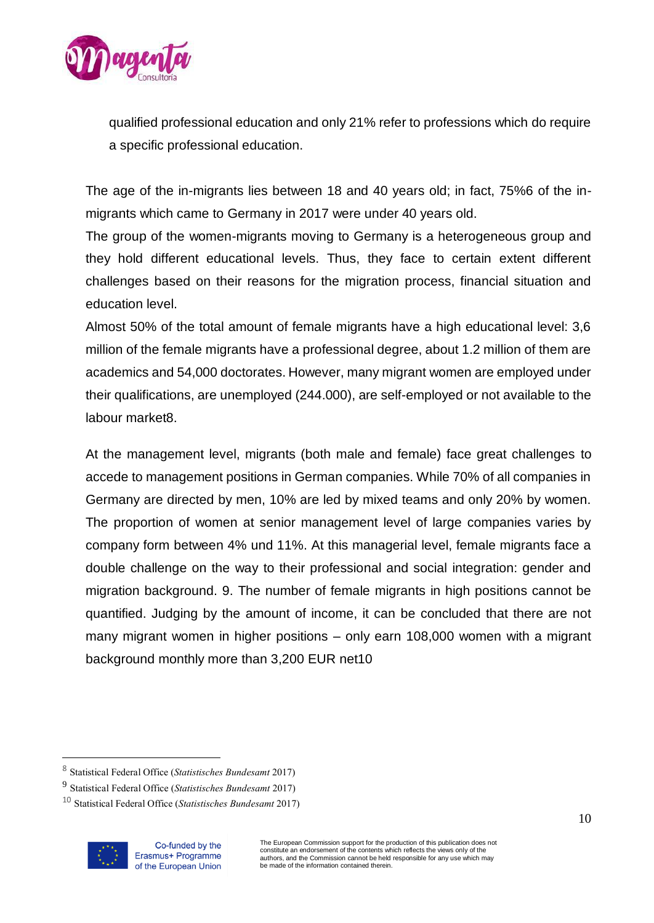

qualified professional education and only 21% refer to professions which do require a specific professional education.

The age of the in-migrants lies between 18 and 40 years old; in fact, 75%6 of the inmigrants which came to Germany in 2017 were under 40 years old.

The group of the women-migrants moving to Germany is a heterogeneous group and they hold different educational levels. Thus, they face to certain extent different challenges based on their reasons for the migration process, financial situation and education level.

Almost 50% of the total amount of female migrants have a high educational level: 3,6 million of the female migrants have a professional degree, about 1.2 million of them are academics and 54,000 doctorates. However, many migrant women are employed under their qualifications, are unemployed (244.000), are self-employed or not available to the labour market8.

At the management level, migrants (both male and female) face great challenges to accede to management positions in German companies. While 70% of all companies in Germany are directed by men, 10% are led by mixed teams and only 20% by women. The proportion of women at senior management level of large companies varies by company form between 4% und 11%. At this managerial level, female migrants face a double challenge on the way to their professional and social integration: gender and migration background. 9. The number of female migrants in high positions cannot be quantified. Judging by the amount of income, it can be concluded that there are not many migrant women in higher positions – only earn 108,000 women with a migrant background monthly more than 3,200 EUR net10

<sup>10</sup> Statistical Federal Office (*Statistisches Bundesamt* 2017)



<sup>8</sup> Statistical Federal Office (*Statistisches Bundesamt* 2017)

<sup>9</sup> Statistical Federal Office (*Statistisches Bundesamt* 2017)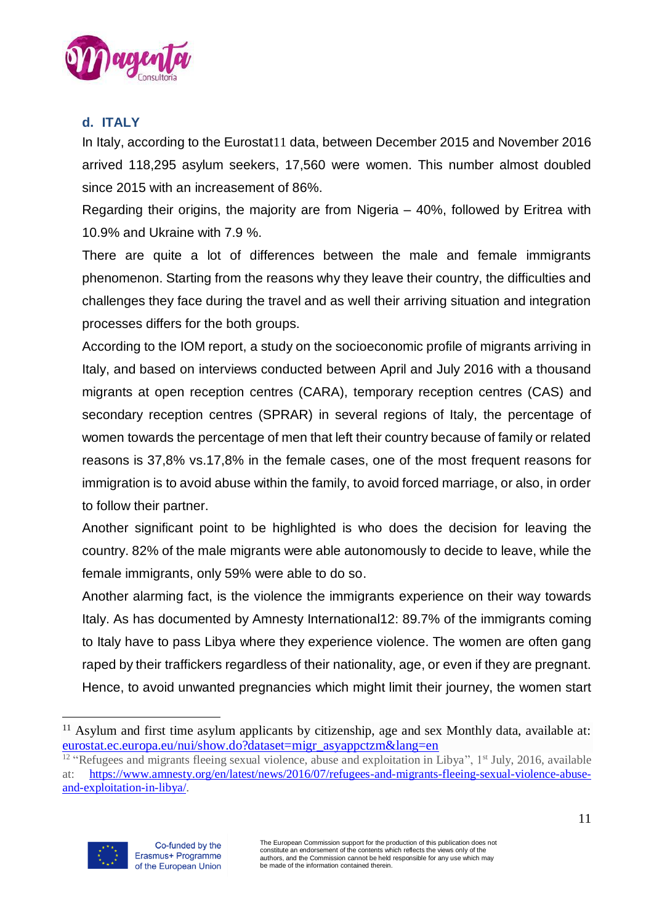

# <span id="page-10-0"></span>**d. ITALY**

In Italy, according to the Eurostat11 data, between December 2015 and November 2016 arrived 118,295 asylum seekers, 17,560 were women. This number almost doubled since 2015 with an increasement of 86%.

Regarding their origins, the majority are from Nigeria – 40%, followed by Eritrea with 10.9% and Ukraine with 7.9 %.

There are quite a lot of differences between the male and female immigrants phenomenon. Starting from the reasons why they leave their country, the difficulties and challenges they face during the travel and as well their arriving situation and integration processes differs for the both groups.

According to the IOM report, a [study on the socioeconomic profile of migrants arriving in](http://www.italy.iom.int/it/aree-di-attivit%C3%A0/ricerca/study-migrants%E2%80%99-profiles-drivers-migration-and-migratory-trends)  [Italy,](http://www.italy.iom.int/it/aree-di-attivit%C3%A0/ricerca/study-migrants%E2%80%99-profiles-drivers-migration-and-migratory-trends) and based on interviews conducted between April and July 2016 with a thousand migrants at open reception centres (CARA), temporary reception centres (CAS) and secondary reception centres (SPRAR) in several regions of Italy, the percentage of women towards the percentage of men that left their country because of family or related reasons is 37,8% vs.17,8% in the female cases, one of the most frequent reasons for immigration is to avoid abuse within the family, to avoid forced marriage, or also, in order to follow their partner.

Another significant point to be highlighted is who does the decision for leaving the country. 82% of the male migrants were able autonomously to decide to leave, while the female immigrants, only 59% were able to do so.

Another alarming fact, is the violence the immigrants experience on their way towards Italy. As has [documented by Amnesty International1](http://www.aljazeera.com/news/2016/07/amnesty-reports-horrific-refugee-abuse-stories-libya-160701105057719.html)2: [89.7% of the immigrants coming](https://openmigration.org/analisi/arrivi-via-mare-nel-2016-tutti-i-numeri-e-qualche-considerazione/)  [to Italy have to pass](https://openmigration.org/analisi/arrivi-via-mare-nel-2016-tutti-i-numeri-e-qualche-considerazione/) Libya where they experience violence. The women are often gang raped by their traffickers regardless of their nationality, age, or even if they are pregnant. Hence, to avoid unwanted pregnancies which might limit their journey, the women [start](http://www.a-dif.org/2016/12/21/migranti-stuprate-in-libia-ma-la-ue-si-preoccupa-delle-navi-ong-di-soccorso/) 

<sup>&</sup>lt;sup>12</sup> "Refugees and migrants fleeing sexual violence, abuse and exploitation in Libya",  $1<sup>st</sup>$  July, 2016, available at: [https://www.amnesty.org/en/latest/news/2016/07/refugees-and-migrants-fleeing-sexual-violence-abuse](https://www.amnesty.org/en/latest/news/2016/07/refugees-and-migrants-fleeing-sexual-violence-abuse-and-exploitation-in-libya/)[and-exploitation-in-libya/.](https://www.amnesty.org/en/latest/news/2016/07/refugees-and-migrants-fleeing-sexual-violence-abuse-and-exploitation-in-libya/)



<sup>&</sup>lt;sup>11</sup> Asylum and first time asylum applicants by citizenship, age and sex Monthly data, available at: eurostat.ec.europa.eu/nui/show.do?dataset=migr\_asyappctzm&lang=en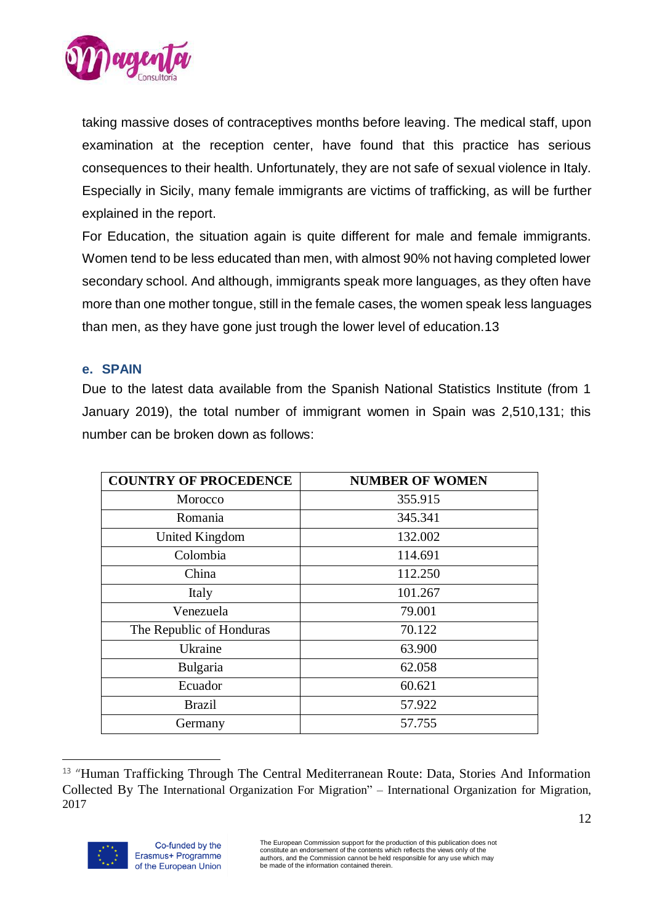

[taking massive doses of contraceptives months before leaving.](http://www.a-dif.org/2016/12/21/migranti-stuprate-in-libia-ma-la-ue-si-preoccupa-delle-navi-ong-di-soccorso/) The medical staff, upon examination at the reception center, have found that this practice has serious consequences to their health. Unfortunately, they are not safe of sexual violence in Italy. Especially in Sicily, many female immigrants are victims of trafficking, as will be further explained in the report.

For Education, the situation again is quite different for male and female immigrants. Women tend to be less educated than men, with almost 90% not having completed lower secondary school. And although, immigrants speak more languages, as they often have more than one mother tongue, still in the female cases, the women speak less languages than men, as they have gone just trough the lower level of education.13

#### <span id="page-11-0"></span>**e. SPAIN**

Due to the latest data available from the Spanish National Statistics Institute (from 1 January 2019), the total number of immigrant women in Spain was 2,510,131; this number can be broken down as follows:

| <b>COUNTRY OF PROCEDENCE</b> | <b>NUMBER OF WOMEN</b> |
|------------------------------|------------------------|
| Morocco                      | 355.915                |
| Romania                      | 345.341                |
| United Kingdom               | 132.002                |
| Colombia                     | 114.691                |
| China                        | 112.250                |
| Italy                        | 101.267                |
| Venezuela                    | 79.001                 |
| The Republic of Honduras     | 70.122                 |
| Ukraine                      | 63.900                 |
| Bulgaria                     | 62.058                 |
| Ecuador                      | 60.621                 |
| <b>Brazil</b>                | 57.922                 |
| Germany                      | 57.755                 |

 $\overline{a}$ <sup>13</sup> "Human Trafficking Through The Central Mediterranean Route: Data, Stories And Information Collected By The International Organization For Migration" – International Organization for Migration, 2017

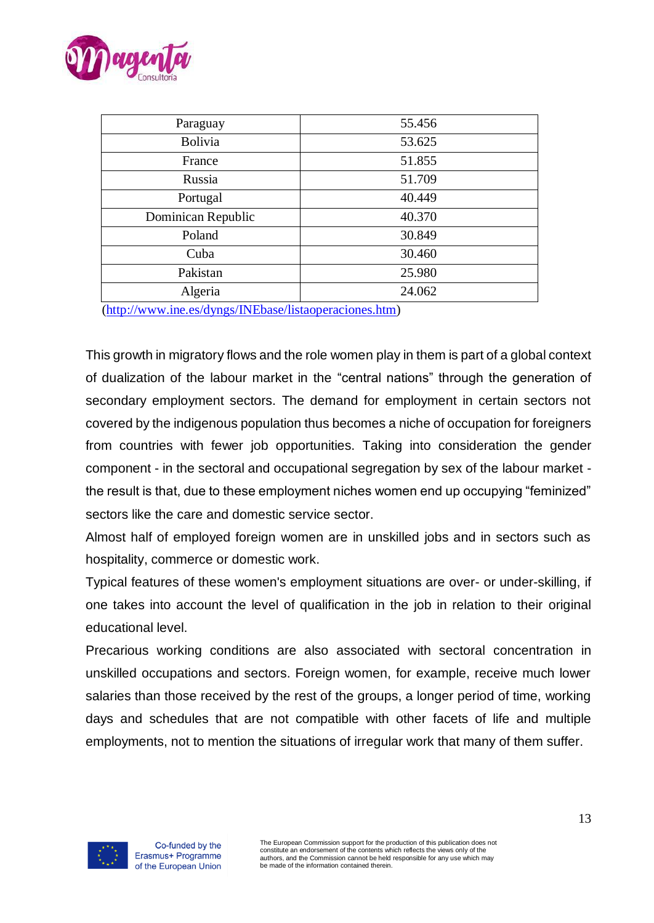

| Paraguay           | 55.456 |
|--------------------|--------|
| <b>Bolivia</b>     | 53.625 |
| France             | 51.855 |
| Russia             | 51.709 |
| Portugal           | 40.449 |
| Dominican Republic | 40.370 |
| Poland             | 30.849 |
| Cuba               | 30.460 |
| Pakistan           | 25.980 |
| Algeria            | 24.062 |
|                    |        |

[\(http://www.ine.es/dyngs/INEbase/listaoperaciones.htm\)](http://www.ine.es/dyngs/INEbase/listaoperaciones.htm)

This growth in migratory flows and the role women play in them is part of a global context of dualization of the labour market in the "central nations" through the generation of secondary employment sectors. The demand for employment in certain sectors not covered by the indigenous population thus becomes a niche of occupation for foreigners from countries with fewer job opportunities. Taking into consideration the gender component - in the sectoral and occupational segregation by sex of the labour market the result is that, due to these employment niches women end up occupying "feminized" sectors like the care and domestic service sector.

Almost half of employed foreign women are in unskilled jobs and in sectors such as hospitality, commerce or domestic work.

Typical features of these women's employment situations are over- or under-skilling, if one takes into account the level of qualification in the job in relation to their original educational level.

Precarious working conditions are also associated with sectoral concentration in unskilled occupations and sectors. Foreign women, for example, receive much lower salaries than those received by the rest of the groups, a longer period of time, working days and schedules that are not compatible with other facets of life and multiple employments, not to mention the situations of irregular work that many of them suffer.

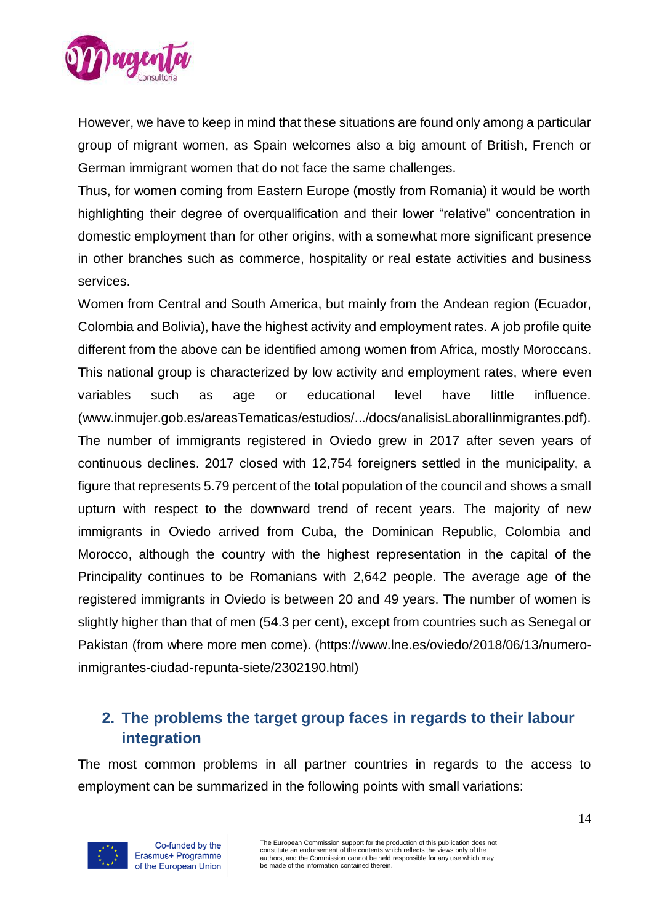

However, we have to keep in mind that these situations are found only among a particular group of migrant women, as Spain welcomes also a big amount of British, French or German immigrant women that do not face the same challenges.

Thus, for women coming from Eastern Europe (mostly from Romania) it would be worth highlighting their degree of overqualification and their lower "relative" concentration in domestic employment than for other origins, with a somewhat more significant presence in other branches such as commerce, hospitality or real estate activities and business services.

Women from Central and South America, but mainly from the Andean region (Ecuador, Colombia and Bolivia), have the highest activity and employment rates. A job profile quite different from the above can be identified among women from Africa, mostly Moroccans. This national group is characterized by low activity and employment rates, where even variables such as age or educational level have little influence. [\(www.inmujer.gob.es/areasTematicas/estudios/.../docs/analisisLaboralIinmigrantes.pdf\)](http://www.inmujer.gob.es/areasTematicas/estudios/.../docs/analisisLaboralIinmigrantes.pdf). The number of immigrants registered in Oviedo grew in 2017 after seven years of continuous declines. 2017 closed with 12,754 foreigners settled in the municipality, a figure that represents 5.79 percent of the total population of the council and shows a small upturn with respect to the downward trend of recent years. The majority of new immigrants in Oviedo arrived from Cuba, the Dominican Republic, Colombia and Morocco, although the country with the highest representation in the capital of the Principality continues to be Romanians with 2,642 people. The average age of the registered immigrants in Oviedo is between 20 and 49 years. The number of women is slightly higher than that of men (54.3 per cent), except from countries such as Senegal or Pakistan (from where more men come). [\(https://www.lne.es/oviedo/2018/06/13/numero](https://www.lne.es/oviedo/2018/06/13/numero-inmigrantes-ciudad-repunta-siete/2302190.html)[inmigrantes-ciudad-repunta-siete/2302190.html\)](https://www.lne.es/oviedo/2018/06/13/numero-inmigrantes-ciudad-repunta-siete/2302190.html)

# <span id="page-13-0"></span>**2. The problems the target group faces in regards to their labour integration**

The most common problems in all partner countries in regards to the access to employment can be summarized in the following points with small variations:

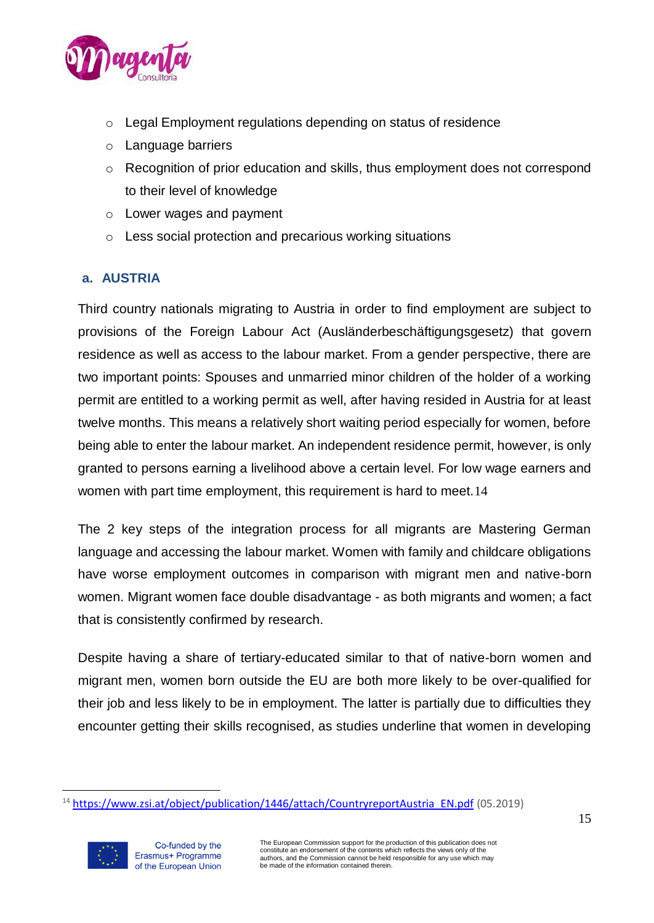

- o Legal Employment regulations depending on status of residence
- o Language barriers
- o Recognition of prior education and skills, thus employment does not correspond to their level of knowledge
- o Lower wages and payment
- o Less social protection and precarious working situations

# <span id="page-14-0"></span>**a. AUSTRIA**

Third country nationals migrating to Austria in order to find employment are subject to provisions of the Foreign Labour Act (Ausländerbeschäftigungsgesetz) that govern residence as well as access to the labour market. From a gender perspective, there are two important points: Spouses and unmarried minor children of the holder of a working permit are entitled to a working permit as well, after having resided in Austria for at least twelve months. This means a relatively short waiting period especially for women, before being able to enter the labour market. An independent residence permit, however, is only granted to persons earning a livelihood above a certain level. For low wage earners and women with part time employment, this requirement is hard to meet.14

The 2 key steps of the integration process for all migrants are Mastering German language and accessing the labour market. Women with family and childcare obligations have worse employment outcomes in comparison with migrant men and native-born women. Migrant women face double disadvantage - as both migrants and women; a fact that is consistently confirmed by research.

Despite having a share of tertiary-educated similar to that of native-born women and migrant men, women born outside the EU are both more likely to be over-qualified for their job and less likely to be in employment. The latter is partially due to difficulties they encounter getting their skills recognised, as studies underline that women in developing

<sup>&</sup>lt;sup>14</sup> [https://www.zsi.at/object/publication/1446/attach/CountryreportAustria\\_EN.pdf](https://www.zsi.at/object/publication/1446/attach/CountryreportAustria_EN.pdf) (05.2019)

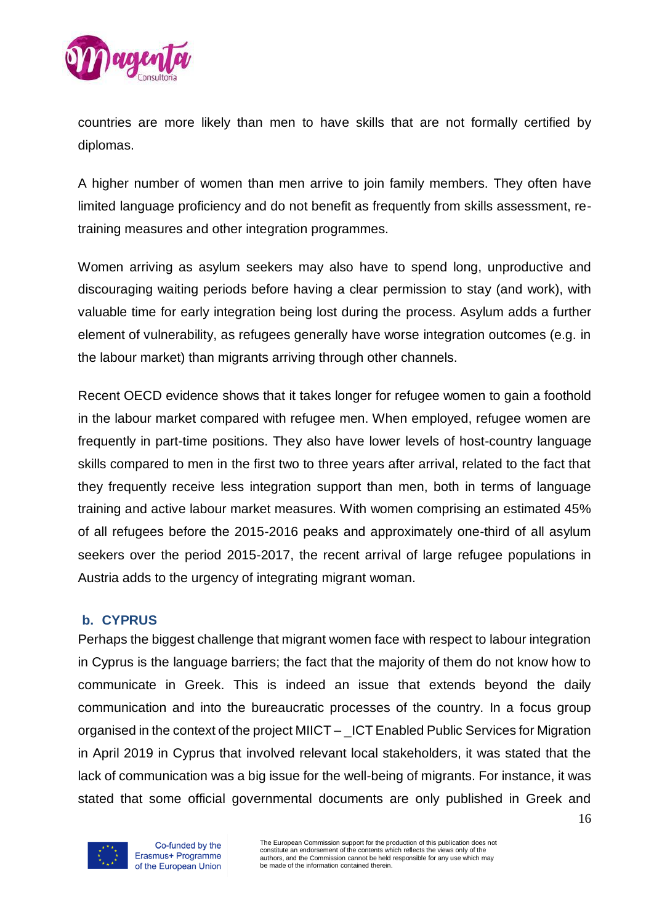

countries are more likely than men to have skills that are not formally certified by diplomas.

A higher number of women than men arrive to join family members. They often have limited language proficiency and do not benefit as frequently from skills assessment, retraining measures and other integration programmes.

Women arriving as asylum seekers may also have to spend long, unproductive and discouraging waiting periods before having a clear permission to stay (and work), with valuable time for early integration being lost during the process. Asylum adds a further element of vulnerability, as refugees generally have worse integration outcomes (e.g. in the labour market) than migrants arriving through other channels.

Recent [OECD evidence](https://ec.europa.eu/migrant-integration/librarydoc/triple-disadvantage-a-first-overview-of-the-integration-of-refugee-women?lang=en) shows that it takes longer for refugee women to gain a foothold in the labour market compared with refugee men. When employed, refugee women are frequently in part-time positions. They also have lower levels of host-country language skills compared to men in the first two to three years after arrival, related to the fact that they frequently receive less integration support than men, both in terms of language training and active labour market measures. With women comprising an estimated 45% of all refugees before the 2015-2016 peaks and approximately one-third of all asylum seekers over the period 2015-2017, the recent arrival of large refugee populations in Austria adds to the urgency of integrating migrant woman.

### <span id="page-15-0"></span>**b. CYPRUS**

Perhaps the biggest challenge that migrant women face with respect to labour integration in Cyprus is the language barriers; the fact that the majority of them do not know how to communicate in Greek. This is indeed an issue that extends beyond the daily communication and into the bureaucratic processes of the country. In a focus group organised in the context of the project MIICT – \_ICT Enabled Public Services for Migration in April 2019 in Cyprus that involved relevant local stakeholders, it was stated that the lack of communication was a big issue for the well-being of migrants. For instance, it was stated that some official governmental documents are only published in Greek and



Co-funded by the Erasmus+ Programme of the European Union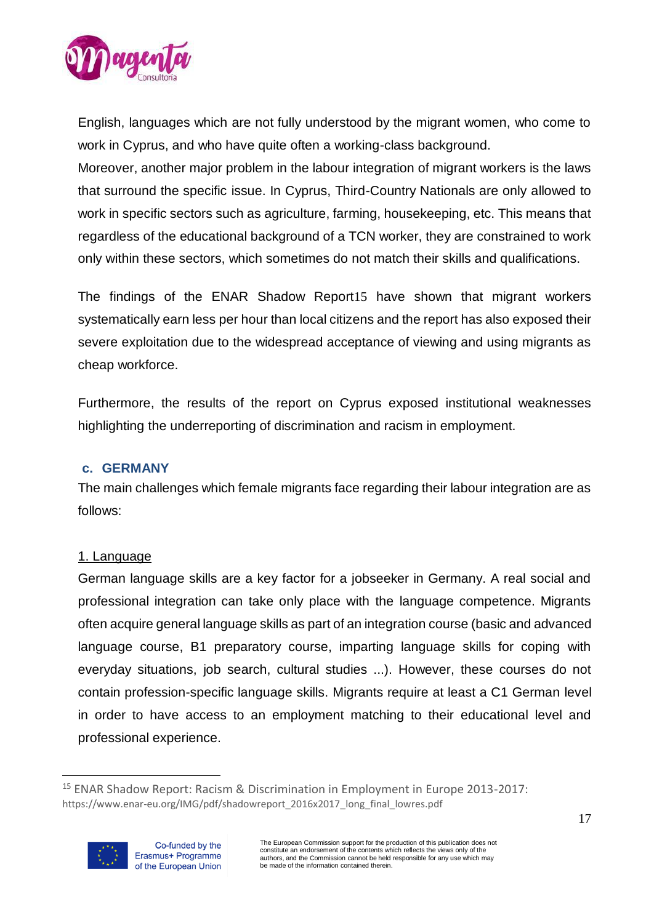

English, languages which are not fully understood by the migrant women, who come to work in Cyprus, and who have quite often a working-class background.

Moreover, another major problem in the labour integration of migrant workers is the laws that surround the specific issue. In Cyprus, Third-Country Nationals are only allowed to work in specific sectors such as agriculture, farming, housekeeping, etc. This means that regardless of the educational background of a TCN worker, they are constrained to work only within these sectors, which sometimes do not match their skills and qualifications.

The findings of the ENAR Shadow Report15 have shown that migrant workers systematically earn less per hour than local citizens and the report has also exposed their severe exploitation due to the widespread acceptance of viewing and using migrants as cheap workforce.

Furthermore, the results of the report on Cyprus exposed institutional weaknesses highlighting the underreporting of discrimination and racism in employment.

#### <span id="page-16-0"></span>**c. GERMANY**

The main challenges which female migrants face regarding their labour integration are as follows:

#### 1. Language

German language skills are a key factor for a jobseeker in Germany. A real social and professional integration can take only place with the language competence. Migrants often acquire general language skills as part of an integration course (basic and advanced language course, B1 preparatory course, imparting language skills for coping with everyday situations, job search, cultural studies ...). However, these courses do not contain profession-specific language skills. Migrants require at least a C1 German level in order to have access to an employment matching to their educational level and professional experience.

<sup>15</sup> ENAR Shadow Report: Racism & Discrimination in Employment in Europe 2013-2017: https://www.enar-eu.org/IMG/pdf/shadowreport\_2016x2017\_long\_final\_lowres.pdf

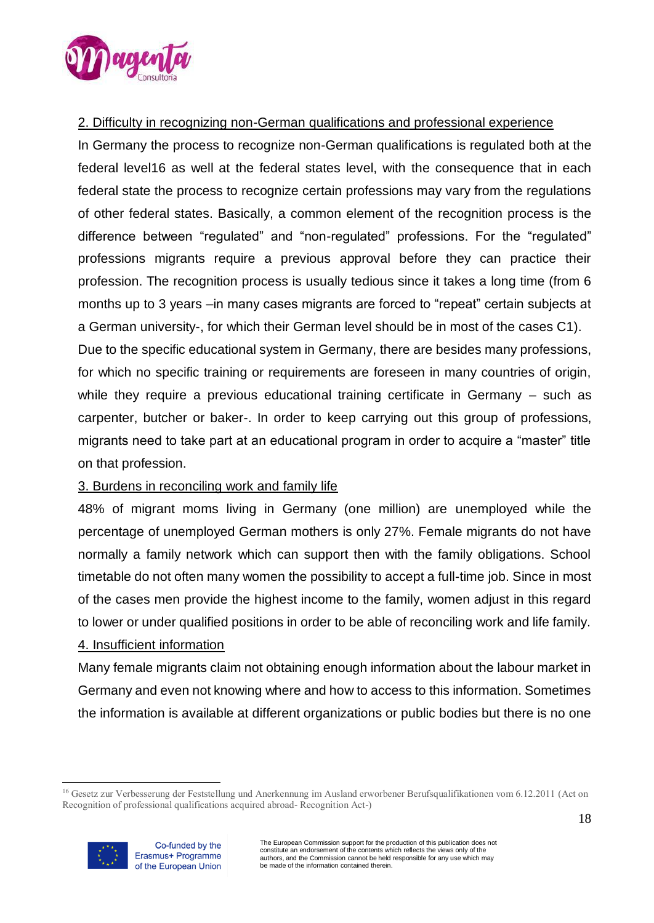

## 2. Difficulty in recognizing non-German qualifications and professional experience

In Germany the process to recognize non-German qualifications is regulated both at the federal level16 as well at the federal states level, with the consequence that in each federal state the process to recognize certain professions may vary from the regulations of other federal states. Basically, a common element of the recognition process is the difference between "regulated" and "non-regulated" professions. For the "regulated" professions migrants require a previous approval before they can practice their profession. The recognition process is usually tedious since it takes a long time (from 6 months up to 3 years –in many cases migrants are forced to "repeat" certain subjects at a German university-, for which their German level should be in most of the cases C1). Due to the specific educational system in Germany, there are besides many professions, for which no specific training or requirements are foreseen in many countries of origin, while they require a previous educational training certificate in Germany – such as carpenter, butcher or baker-. In order to keep carrying out this group of professions, migrants need to take part at an educational program in order to acquire a "master" title on that profession.

### 3. Burdens in reconciling work and family life

48% of migrant moms living in Germany (one million) are unemployed while the percentage of unemployed German mothers is only 27%. Female migrants do not have normally a family network which can support then with the family obligations. School timetable do not often many women the possibility to accept a full-time job. Since in most of the cases men provide the highest income to the family, women adjust in this regard to lower or under qualified positions in order to be able of reconciling work and life family. 4. Insufficient information

Many female migrants claim not obtaining enough information about the labour market in Germany and even not knowing where and how to access to this information. Sometimes the information is available at different organizations or public bodies but there is no one

<sup>16</sup> Gesetz zur Verbesserung der Feststellung und Anerkennung im Ausland erworbener Berufsqualifikationen vom 6.12.2011 (Act on Recognition of professional qualifications acquired abroad- Recognition Act-)

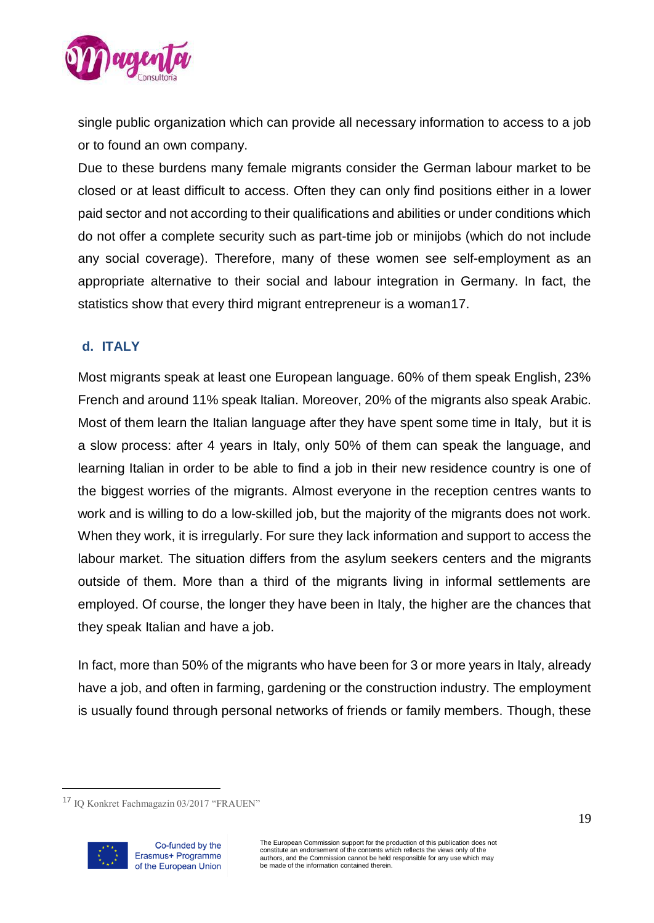

single public organization which can provide all necessary information to access to a job or to found an own company.

Due to these burdens many female migrants consider the German labour market to be closed or at least difficult to access. Often they can only find positions either in a lower paid sector and not according to their qualifications and abilities or under conditions which do not offer a complete security such as part-time job or minijobs (which do not include any social coverage). Therefore, many of these women see self-employment as an appropriate alternative to their social and labour integration in Germany. In fact, the statistics show that every third migrant entrepreneur is a woman17.

# <span id="page-18-0"></span>**d. ITALY**

Most migrants speak at least one European language. 60% of them speak English, 23% French and around 11% speak Italian. Moreover, 20% of the migrants also speak Arabic. Most of them learn the Italian language after they have spent some time in Italy, but it is a slow process: after 4 years in Italy, only 50% of them can speak the language, and learning Italian in order to be able to find a job in their new residence country is one of the biggest worries of the migrants. Almost everyone in the reception centres wants to work and is willing to do a low-skilled job, but the majority of the migrants does not work. When they work, it is irregularly. For sure they lack information and support to access the labour market. The situation differs from the asylum seekers centers and the migrants outside of them. More than a third of the migrants living in informal settlements are employed. Of course, the longer they have been in Italy, the higher are the chances that they speak Italian and have a job.

In fact, more than 50% of the migrants who have been for 3 or more years in Italy, already have a job, and often in farming, gardening or the construction industry. The employment is usually found through personal networks of friends or family members. Though, these

<sup>17</sup> IQ Konkret Fachmagazin 03/2017 "FRAUEN"

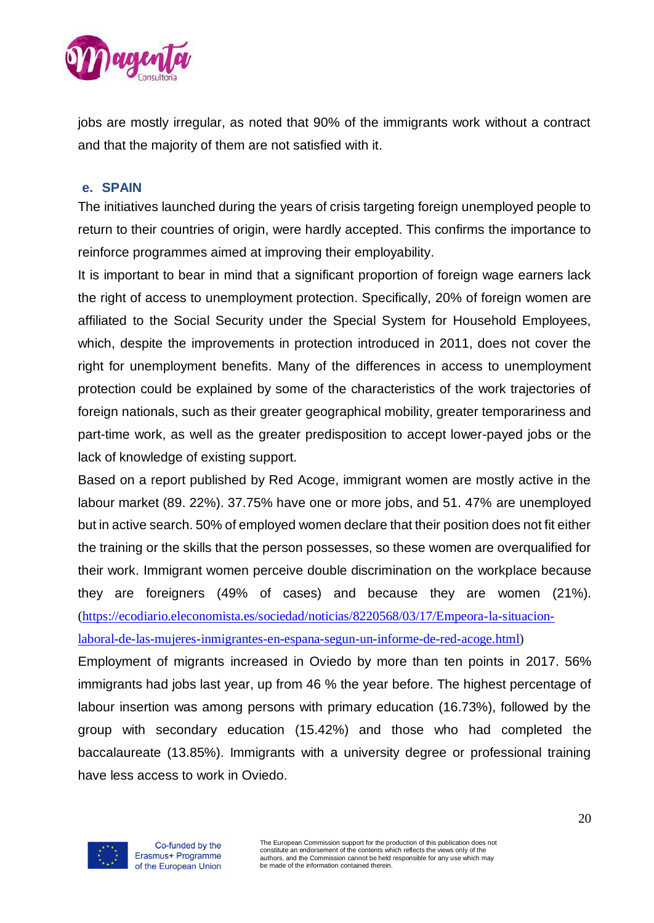

jobs are mostly irregular, as noted that 90% of the immigrants work without a contract and that the majority of them are not satisfied with it.

#### <span id="page-19-0"></span>**e. SPAIN**

The initiatives launched during the years of crisis targeting foreign unemployed people to return to their countries of origin, were hardly accepted. This confirms the importance to reinforce programmes aimed at improving their employability.

It is important to bear in mind that a significant proportion of foreign wage earners lack the right of access to unemployment protection. Specifically, 20% of foreign women are affiliated to the Social Security under the Special System for Household Employees, which, despite the improvements in protection introduced in 2011, does not cover the right for unemployment benefits. Many of the differences in access to unemployment protection could be explained by some of the characteristics of the work trajectories of foreign nationals, such as their greater geographical mobility, greater temporariness and part-time work, as well as the greater predisposition to accept lower-payed jobs or the lack of knowledge of existing support.

Based on a report published by Red Acoge, immigrant women are mostly active in the labour market (89. 22%). 37.75% have one or more jobs, and 51. 47% are unemployed but in active search. 50% of employed women declare that their position does not fit either the training or the skills that the person possesses, so these women are overqualified for their work. Immigrant women perceive double discrimination on the workplace because they are foreigners (49% of cases) and because they are women (21%). [\(https://ecodiario.eleconomista.es/sociedad/noticias/8220568/03/17/Empeora-la-situacion](https://ecodiario.eleconomista.es/sociedad/noticias/8220568/03/17/Empeora-la-situacion-laboral-de-las-mujeres-inmigrantes-en-espana-segun-un-informe-de-red-acoge.html)[laboral-de-las-mujeres-inmigrantes-en-espana-segun-un-informe-de-red-acoge.html\)](https://ecodiario.eleconomista.es/sociedad/noticias/8220568/03/17/Empeora-la-situacion-laboral-de-las-mujeres-inmigrantes-en-espana-segun-un-informe-de-red-acoge.html)

Employment of migrants increased in Oviedo by more than ten points in 2017. 56% immigrants had jobs last year, up from 46 % the year before. The highest percentage of labour insertion was among persons with primary education (16.73%), followed by the group with secondary education (15.42%) and those who had completed the baccalaureate (13.85%). Immigrants with a university degree or professional training have less access to work in Oviedo.

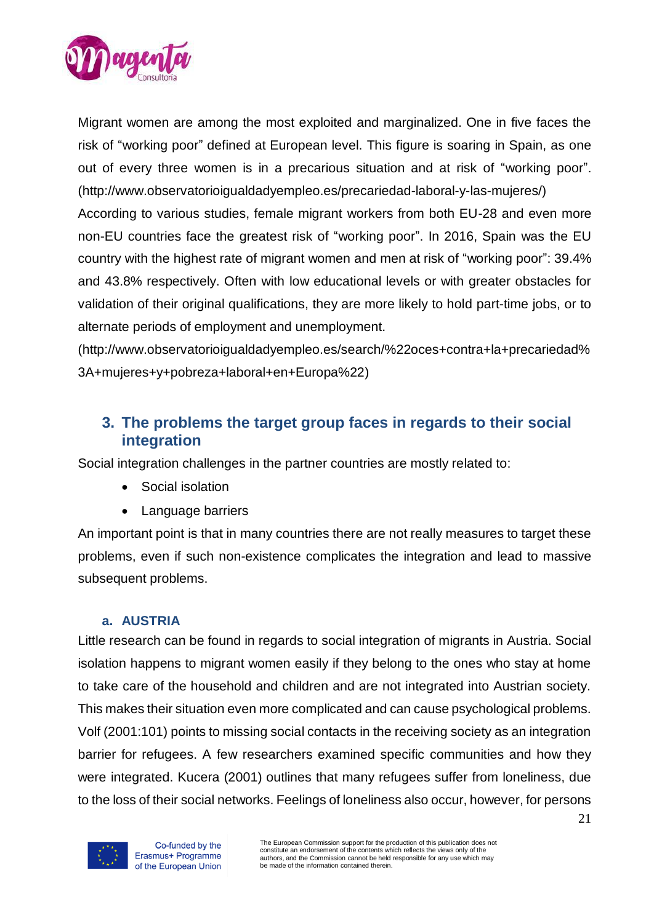

Migrant women are among the most exploited and marginalized. One in five faces the risk of "working poor" defined at European level. This figure is soaring in Spain, as one out of every three women is in a precarious situation and at risk of "working poor". [\(http://www.observatorioigualdadyempleo.es/precariedad-laboral-y-las-mujeres/\)](http://www.observatorioigualdadyempleo.es/precariedad-laboral-y-las-mujeres/) According to various studies, female migrant workers from both EU-28 and even more non-EU countries face the greatest risk of "working poor". In 2016, Spain was the EU

country with the highest rate of migrant women and men at risk of "working poor": 39.4% and 43.8% respectively. Often with low educational levels or with greater obstacles for validation of their original qualifications, they are more likely to hold part-time jobs, or to alternate periods of employment and unemployment.

<span id="page-20-0"></span>[\(http://www.observatorioigualdadyempleo.es/search/%22oces+contra+la+precariedad%](http://www.observatorioigualdadyempleo.es/search/%22oces+contra+la+precariedad%3A+mujeres+y+pobreza+laboral+en+Europa%22) [3A+mujeres+y+pobreza+laboral+en+Europa%22\)](http://www.observatorioigualdadyempleo.es/search/%22oces+contra+la+precariedad%3A+mujeres+y+pobreza+laboral+en+Europa%22)

# **3. The problems the target group faces in regards to their social integration**

Social integration challenges in the partner countries are mostly related to:

- Social isolation
- Language barriers

An important point is that in many countries there are not really measures to target these problems, even if such non-existence complicates the integration and lead to massive subsequent problems.

### **a. AUSTRIA**

<span id="page-20-1"></span>Little research can be found in regards to social integration of migrants in Austria. Social isolation happens to migrant women easily if they belong to the ones who stay at home to take care of the household and children and are not integrated into Austrian society. This makes their situation even more complicated and can cause psychological problems. Volf (2001:101) points to missing social contacts in the receiving society as an integration barrier for refugees. A few researchers examined specific communities and how they were integrated. Kucera (2001) outlines that many refugees suffer from loneliness, due to the loss of their social networks. Feelings of loneliness also occur, however, for persons

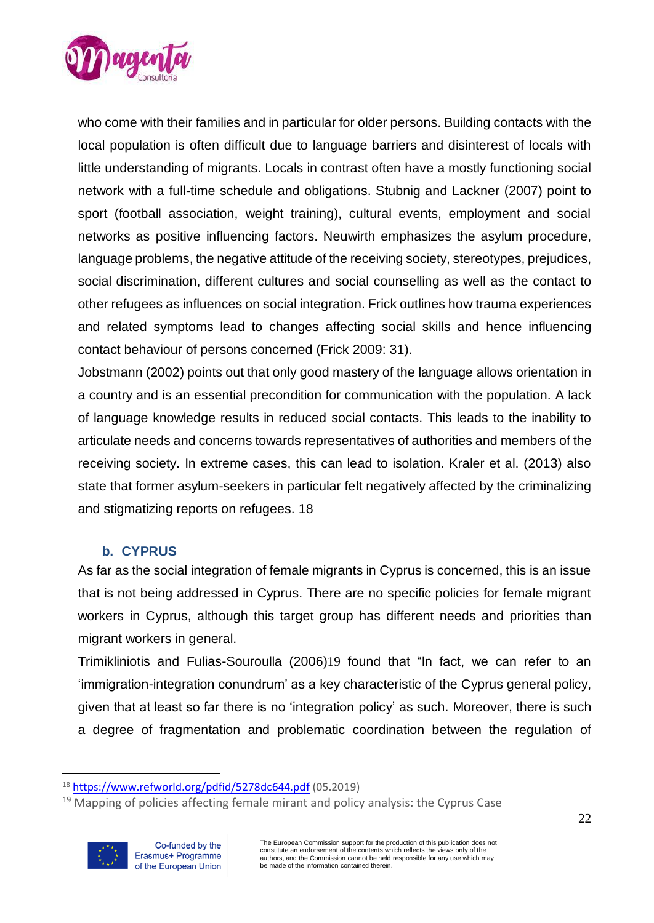

who come with their families and in particular for older persons. Building contacts with the local population is often difficult due to language barriers and disinterest of locals with little understanding of migrants. Locals in contrast often have a mostly functioning social network with a full-time schedule and obligations. Stubnig and Lackner (2007) point to sport (football association, weight training), cultural events, employment and social networks as positive influencing factors. Neuwirth emphasizes the asylum procedure, language problems, the negative attitude of the receiving society, stereotypes, prejudices, social discrimination, different cultures and social counselling as well as the contact to other refugees as influences on social integration. Frick outlines how trauma experiences and related symptoms lead to changes affecting social skills and hence influencing contact behaviour of persons concerned (Frick 2009: 31).

Jobstmann (2002) points out that only good mastery of the language allows orientation in a country and is an essential precondition for communication with the population. A lack of language knowledge results in reduced social contacts. This leads to the inability to articulate needs and concerns towards representatives of authorities and members of the receiving society. In extreme cases, this can lead to isolation. Kraler et al. (2013) also state that former asylum-seekers in particular felt negatively affected by the criminalizing and stigmatizing reports on refugees. 18

### **b. CYPRUS**

<span id="page-21-0"></span>As far as the social integration of female migrants in Cyprus is concerned, this is an issue that is not being addressed in Cyprus. There are no specific policies for female migrant workers in Cyprus, although this target group has different needs and priorities than migrant workers in general.

Trimikliniotis and Fulias-Souroulla (2006)19 found that "In fact, we can refer to an 'immigration-integration conundrum' as a key characteristic of the Cyprus general policy, given that at least so far there is no 'integration policy' as such. Moreover, there is such a degree of fragmentation and problematic coordination between the regulation of

 $19$  Mapping of policies affecting female mirant and policy analysis: the Cyprus Case



<sup>18</sup> <https://www.refworld.org/pdfid/5278dc644.pdf> (05.2019)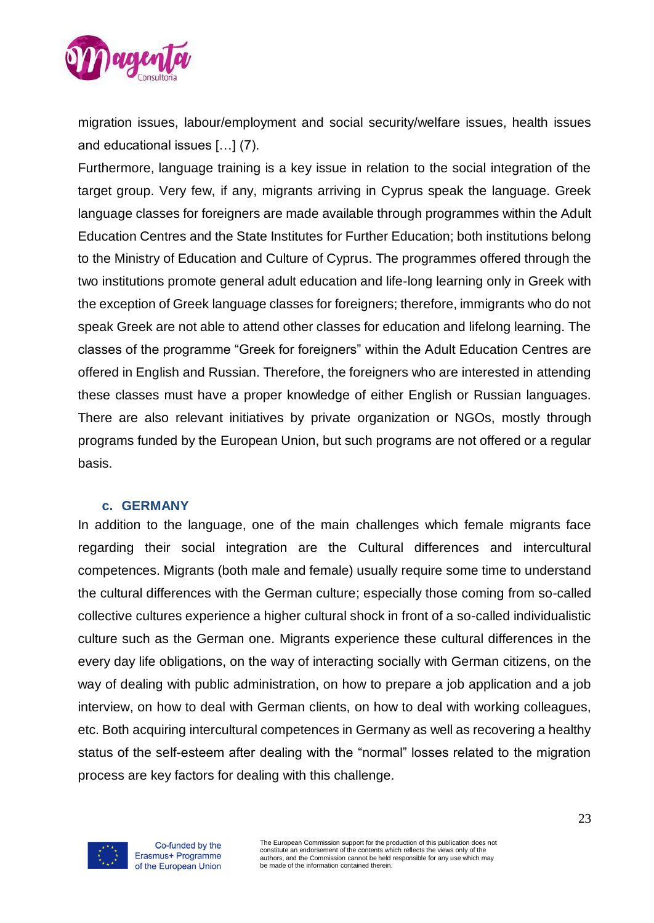

migration issues, labour/employment and social security/welfare issues, health issues and educational issues […] (7).

Furthermore, language training is a key issue in relation to the social integration of the target group. Very few, if any, migrants arriving in Cyprus speak the language. Greek language classes for foreigners are made available through programmes within the Adult Education Centres and the State Institutes for Further Education; both institutions belong to the Ministry of Education and Culture of Cyprus. The programmes offered through the two institutions promote general adult education and life-long learning only in Greek with the exception of Greek language classes for foreigners; therefore, immigrants who do not speak Greek are not able to attend other classes for education and lifelong learning. The classes of the programme "Greek for foreigners" within the Adult Education Centres are offered in English and Russian. Therefore, the foreigners who are interested in attending these classes must have a proper knowledge of either English or Russian languages. There are also relevant initiatives by private organization or NGOs, mostly through programs funded by the European Union, but such programs are not offered or a regular basis.

#### **c. GERMANY**

<span id="page-22-0"></span>In addition to the language, one of the main challenges which female migrants face regarding their social integration are the Cultural differences and intercultural competences. Migrants (both male and female) usually require some time to understand the cultural differences with the German culture; especially those coming from so-called collective cultures experience a higher cultural shock in front of a so-called individualistic culture such as the German one. Migrants experience these cultural differences in the every day life obligations, on the way of interacting socially with German citizens, on the way of dealing with public administration, on how to prepare a job application and a job interview, on how to deal with German clients, on how to deal with working colleagues, etc. Both acquiring intercultural competences in Germany as well as recovering a healthy status of the self-esteem after dealing with the "normal" losses related to the migration process are key factors for dealing with this challenge.



Co-funded by the Erasmus+ Programme of the European Union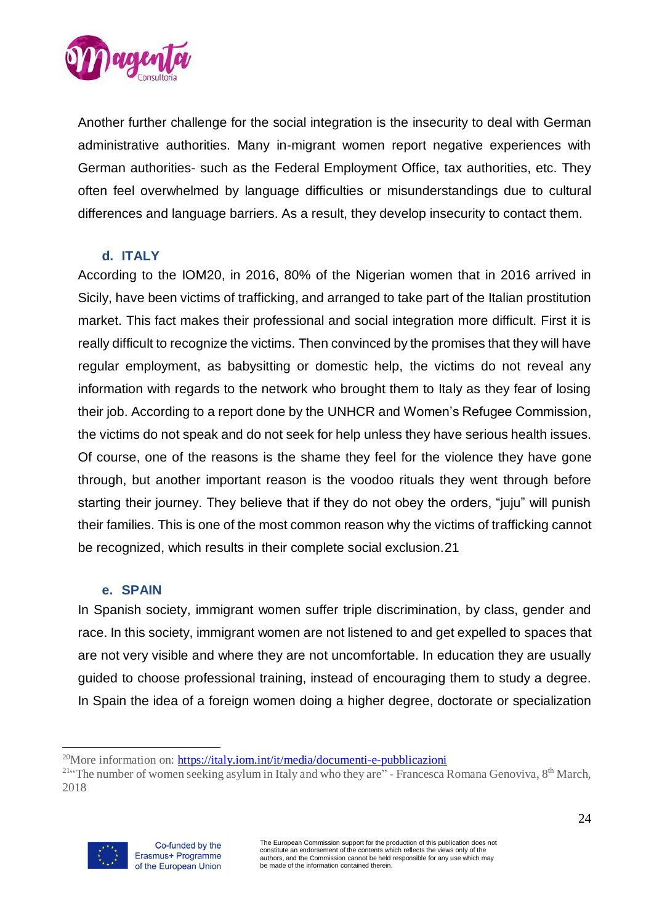

Another further challenge for the social integration is the insecurity to deal with German administrative authorities. Many in-migrant women report negative experiences with German authorities- such as the Federal Employment Office, tax authorities, etc. They often feel overwhelmed by language difficulties or misunderstandings due to cultural differences and language barriers. As a result, they develop insecurity to contact them.

### **d. ITALY**

<span id="page-23-0"></span>According to the IOM20, in 2016, 80% of the Nigerian women that in 2016 arrived in Sicily, have been victims of trafficking, and arranged to take part of the Italian prostitution market. This fact makes their professional and social integration more difficult. First it is really difficult to recognize the victims. Then convinced by the promises that they will have regular employment, as babysitting or domestic help, the victims do not reveal any information with regards to the network who brought them to Italy as they fear of losing their job. According to a report done by the UNHCR and [Women's Refugee Commission,](https://www.womensrefugeecommission.org/) the victims do not speak and do not seek for help unless they have serious health issues. Of course, one of the reasons is the shame they feel for the violence they have gone through, but another important reason is the voodoo rituals they went through before starting their journey. They believe that if they do not obey the orders, "juju" will punish their families. This is one of the most common reason why the victims of trafficking cannot be recognized, which results in their complete social exclusion.21

#### **e. SPAIN**

<span id="page-23-1"></span>In Spanish society, immigrant women suffer triple discrimination, by class, gender and race. In this society, immigrant women are not listened to and get expelled to spaces that are not very visible and where they are not uncomfortable. In education they are usually guided to choose professional training, instead of encouraging them to study a degree. In Spain the idea of a foreign women doing a higher degree, doctorate or specialization

<sup>&</sup>lt;sup>21</sup> The number of women seeking asylum in Italy and who they are" - Francesca Romana Genoviva, 8<sup>th</sup> March, 2018



<sup>&</sup>lt;sup>20</sup>More information on: <https://italy.iom.int/it/media/documenti-e-pubblicazioni>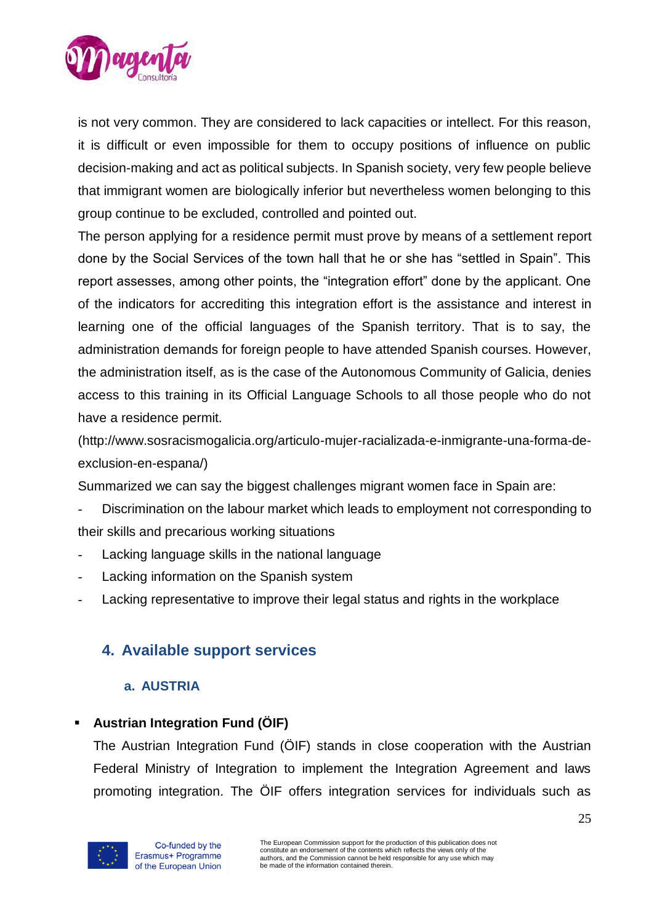

is not very common. They are considered to lack capacities or intellect. For this reason, it is difficult or even impossible for them to occupy positions of influence on public decision-making and act as political subjects. In Spanish society, very few people believe that immigrant women are biologically inferior but nevertheless women belonging to this group continue to be excluded, controlled and pointed out.

The person applying for a residence permit must prove by means of a settlement report done by the Social Services of the town hall that he or she has "settled in Spain". This report assesses, among other points, the "integration effort" done by the applicant. One of the indicators for accrediting this integration effort is the assistance and interest in learning one of the official languages of the Spanish territory. That is to say, the administration demands for foreign people to have attended Spanish courses. However, the administration itself, as is the case of the Autonomous Community of Galicia, denies access to this training in its Official Language Schools to all those people who do not have a residence permit.

[\(http://www.sosracismogalicia.org/articulo-mujer-racializada-e-inmigrante-una-forma-de](http://www.sosracismogalicia.org/articulo-mujer-racializada-e-inmigrante-una-forma-de-exclusion-en-espana/)[exclusion-en-espana/\)](http://www.sosracismogalicia.org/articulo-mujer-racializada-e-inmigrante-una-forma-de-exclusion-en-espana/)

Summarized we can say the biggest challenges migrant women face in Spain are:

- Discrimination on the labour market which leads to employment not corresponding to their skills and precarious working situations
- Lacking language skills in the national language
- Lacking information on the Spanish system
- <span id="page-24-0"></span>Lacking representative to improve their legal status and rights in the workplace

# <span id="page-24-1"></span>**4. Available support services**

### **a. AUSTRIA**

# **Austrian Integration Fund (ÖIF)**

The Austrian Integration Fund (ÖIF) stands in close cooperation with the Austrian Federal Ministry of Integration to implement the Integration Agreement and laws promoting integration. The ÖIF offers integration services for individuals such as

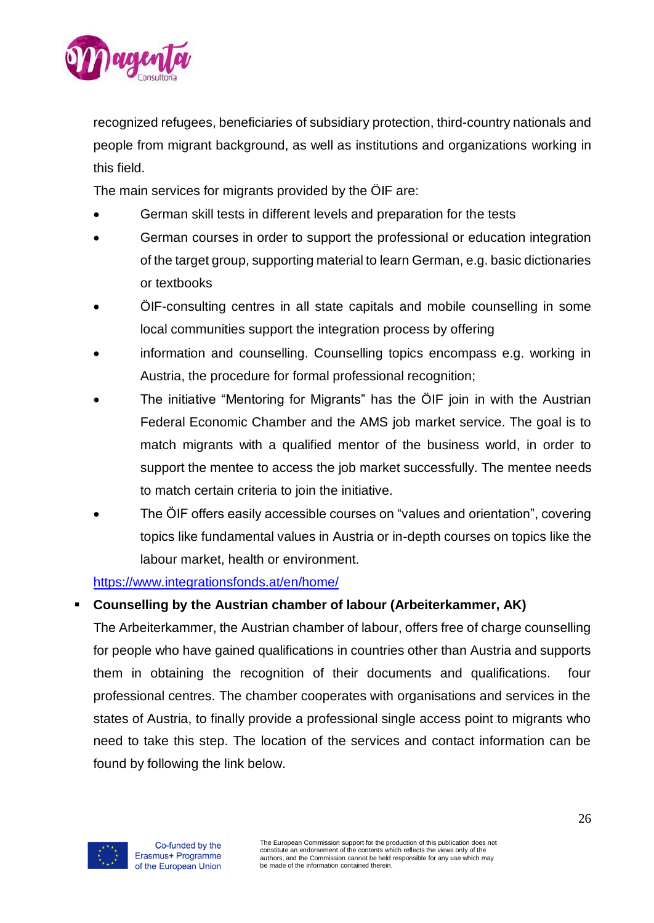

recognized refugees, beneficiaries of subsidiary protection, third-country nationals and people from migrant background, as well as institutions and organizations working in this field.

The main services for migrants provided by the ÖIF are:

- German skill tests in different levels and preparation for the tests
- German courses in order to support the professional or education integration of the target group, supporting material to learn German, e.g. basic dictionaries or textbooks
- ÖIF-consulting centres in all state capitals and mobile counselling in some local communities support the integration process by offering
- information and counselling. Counselling topics encompass e.g. working in Austria, the procedure for formal professional recognition;
- The initiative "Mentoring for Migrants" has the ÖIF join in with the Austrian Federal Economic Chamber and the AMS job market service. The goal is to match migrants with a qualified mentor of the business world, in order to support the mentee to access the job market successfully. The mentee needs to match certain criteria to join the initiative.
- The ÖIF offers easily accessible courses on "values and orientation", covering topics like fundamental values in Austria or in-depth courses on topics like the labour market, health or environment.

# <https://www.integrationsfonds.at/en/home/>

# ▪ **Counselling by the Austrian chamber of labour (Arbeiterkammer, AK)**

The Arbeiterkammer, the Austrian chamber of labour, offers free of charge counselling for people who have gained qualifications in countries other than Austria and supports them in obtaining the recognition of their documents and qualifications. four professional centres. The chamber cooperates with organisations and services in the states of Austria, to finally provide a professional single access point to migrants who need to take this step. The location of the services and contact information can be found by following the link below.

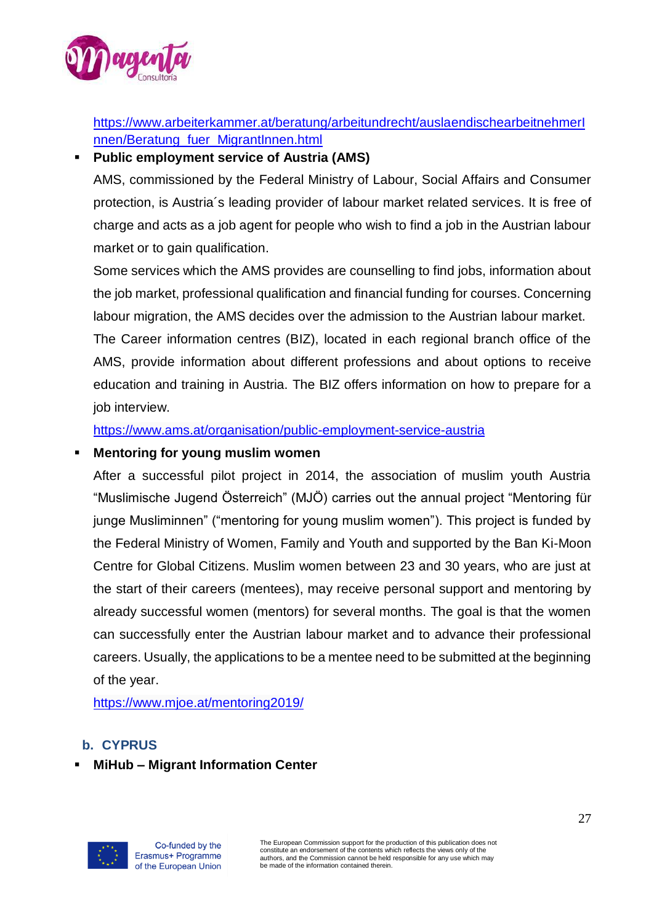

https://www.arbeiterkammer.at/beratung/arbeitundrecht/auslaendischearbeitnehmerI nnen/Beratung\_fuer\_MigrantInnen.html

# **Public employment service of Austria (AMS)**

AMS, commissioned by the Federal Ministry of Labour, Social Affairs and Consumer protection, is Austria´s leading provider of labour market related services. It is free of charge and acts as a job agent for people who wish to find a job in the Austrian labour market or to gain qualification.

Some services which the AMS provides are counselling to find jobs, information about the job market, professional qualification and financial funding for courses. Concerning labour migration, the AMS decides over the admission to the Austrian labour market.

The Career information centres (BIZ), located in each regional branch office of the AMS, provide information about different professions and about options to receive education and training in Austria. The BIZ offers information on how to prepare for a job interview.

<https://www.ams.at/organisation/public-employment-service-austria>

## **Mentoring for young muslim women**

After a successful pilot project in 2014, the association of muslim youth Austria "Muslimische Jugend Österreich" (MJÖ) carries out the annual project "Mentoring für junge Musliminnen" ("mentoring for young muslim women"). This project is funded by the Federal Ministry of Women, Family and Youth and supported by the Ban Ki-Moon Centre for Global Citizens. Muslim women between 23 and 30 years, who are just at the start of their careers (mentees), may receive personal support and mentoring by already successful women (mentors) for several months. The goal is that the women can successfully enter the Austrian labour market and to advance their professional careers. Usually, the applications to be a mentee need to be submitted at the beginning of the year.

<https://www.mjoe.at/mentoring2019/>

# <span id="page-26-0"></span>**b. CYPRUS**

# **MiHub – Migrant Information Center**

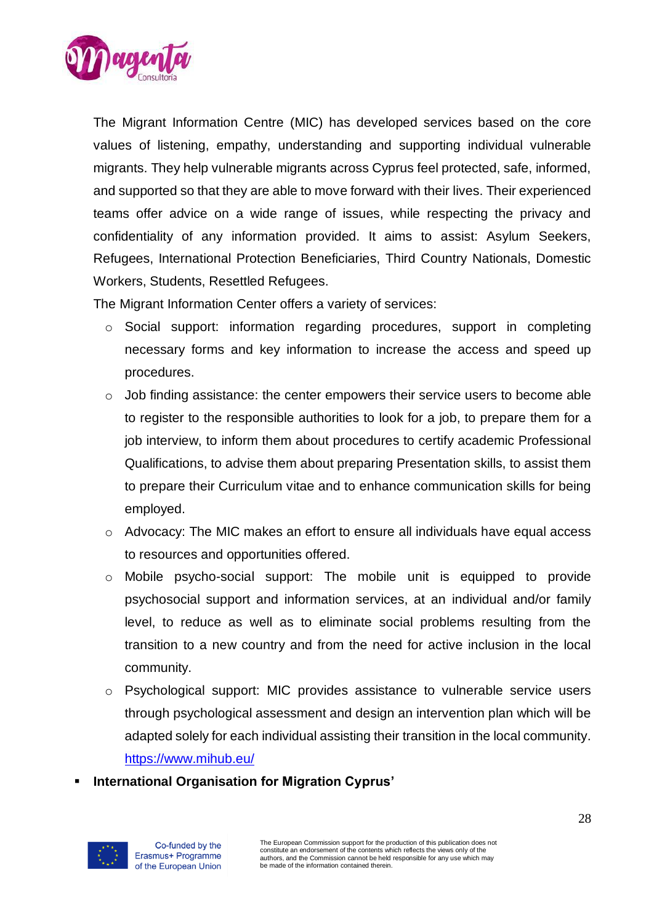

The Migrant Information Centre (MIC) has developed services based on the core values of listening, empathy, understanding and supporting individual vulnerable migrants. They help vulnerable migrants across Cyprus feel protected, safe, informed, and supported so that they are able to move forward with their lives. Their experienced teams offer advice on a wide range of issues, while respecting the privacy and confidentiality of any information provided. It aims to assist: Asylum Seekers, Refugees, International Protection Beneficiaries, Third Country Nationals, Domestic Workers, Students, Resettled Refugees.

The Migrant Information Center offers a variety of services:

- o Social support: information regarding procedures, support in completing necessary forms and key information to increase the access and speed up procedures.
- o Job finding assistance: the center empowers their service users to become able to register to the responsible authorities to look for a job, to prepare them for a job interview, to inform them about procedures to certify academic Professional Qualifications, to advise them about preparing Presentation skills, to assist them to prepare their Curriculum vitae and to enhance communication skills for being employed.
- $\circ$  Advocacy: The MIC makes an effort to ensure all individuals have equal access to resources and opportunities offered.
- o Mobile psycho-social support: The mobile unit is equipped to provide psychosocial support and information services, at an individual and/or family level, to reduce as well as to eliminate social problems resulting from the transition to a new country and from the need for active inclusion in the local community.
- o Psychological support: MIC provides assistance to vulnerable service users through psychological assessment and design an intervention plan which will be adapted solely for each individual assisting their transition in the local community. <https://www.mihub.eu/>
- **International Organisation for Migration Cyprus'**

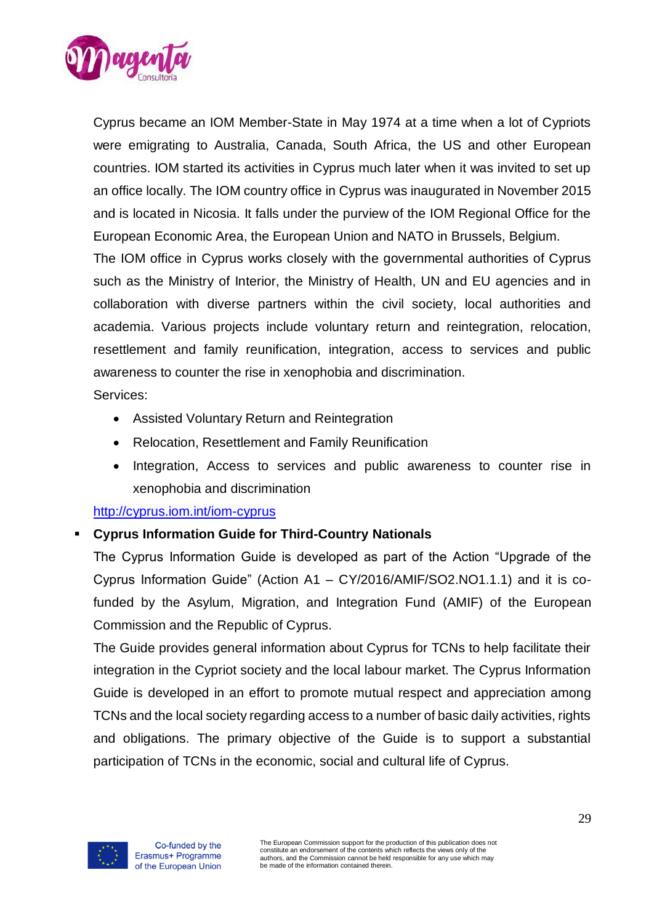

Cyprus became an IOM Member-State in May 1974 at a time when a lot of Cypriots were emigrating to Australia, Canada, South Africa, the US and other European countries. IOM started its activities in Cyprus much later when it was invited to set up an office locally. The IOM country office in Cyprus was inaugurated in November 2015 and is located in Nicosia. It falls under the purview of the IOM Regional Office for the European Economic Area, the European Union and NATO in Brussels, Belgium.

The IOM office in Cyprus works closely with the governmental authorities of Cyprus such as the Ministry of Interior, the Ministry of Health, UN and EU agencies and in collaboration with diverse partners within the civil society, local authorities and academia. Various projects include voluntary return and reintegration, relocation, resettlement and family reunification, integration, access to services and public awareness to counter the rise in xenophobia and discrimination.

### Services:

- Assisted Voluntary Return and Reintegration
- Relocation, Resettlement and Family Reunification
- Integration, Access to services and public awareness to counter rise in xenophobia and discrimination

### <http://cyprus.iom.int/iom-cyprus>

### ▪ **Cyprus Information Guide for Third-Country Nationals**

The Cyprus Information Guide is developed as part of the Action "Upgrade of the Cyprus Information Guide" (Action A1 – CY/2016/AMIF/SO2.NO1.1.1) and it is cofunded by the Asylum, Migration, and Integration Fund (AMIF) of the European Commission and the Republic of Cyprus.

The Guide provides general information about Cyprus for TCNs to help facilitate their integration in the Cypriot society and the local labour market. The Cyprus Information Guide is developed in an effort to promote mutual respect and appreciation among TCNs and the local society regarding access to a number of basic daily activities, rights and obligations. The primary objective of the Guide is to support a substantial participation of TCNs in the economic, social and cultural life of Cyprus.

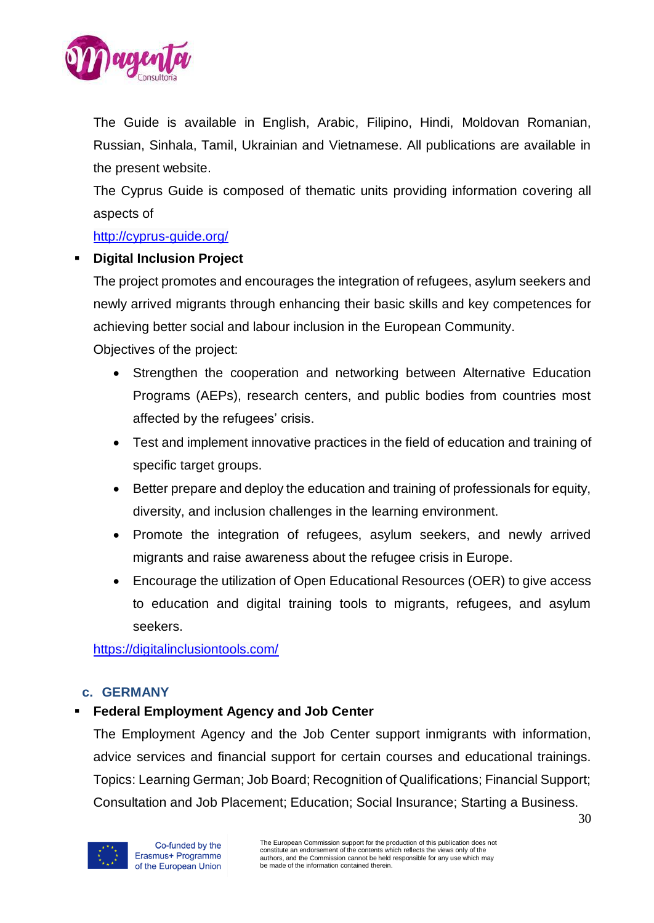

The Guide is available in English, Arabic, Filipino, Hindi, Moldovan Romanian, Russian, Sinhala, Tamil, Ukrainian and Vietnamese. All publications are available in the present website.

The Cyprus Guide is composed of thematic units providing information covering all aspects of

### <http://cyprus-guide.org/>

## **Digital Inclusion Project**

The project promotes and encourages the integration of refugees, asylum seekers and newly arrived migrants through enhancing their basic skills and key competences for achieving better social and labour inclusion in the European Community.

Objectives of the project:

- Strengthen the cooperation and networking between Alternative Education Programs (AEPs), research centers, and public bodies from countries most affected by the refugees' crisis.
- Test and implement innovative practices in the field of education and training of specific target groups.
- Better prepare and deploy the education and training of professionals for equity, diversity, and inclusion challenges in the learning environment.
- Promote the integration of refugees, asylum seekers, and newly arrived migrants and raise awareness about the refugee crisis in Europe.
- Encourage the utilization of Open Educational Resources (OER) to give access to education and digital training tools to migrants, refugees, and asylum seekers.

https://digitalinclusiontools.com/

# <span id="page-29-0"></span>**c. GERMANY**

# **Federal Employment Agency and Job Center**

The Employment Agency and the Job Center support inmigrants with information, advice services and financial support for certain courses and educational trainings. Topics: Learning German; Job Board; Recognition of Qualifications; Financial Support; Consultation and Job Placement; Education; Social Insurance; Starting a Business.

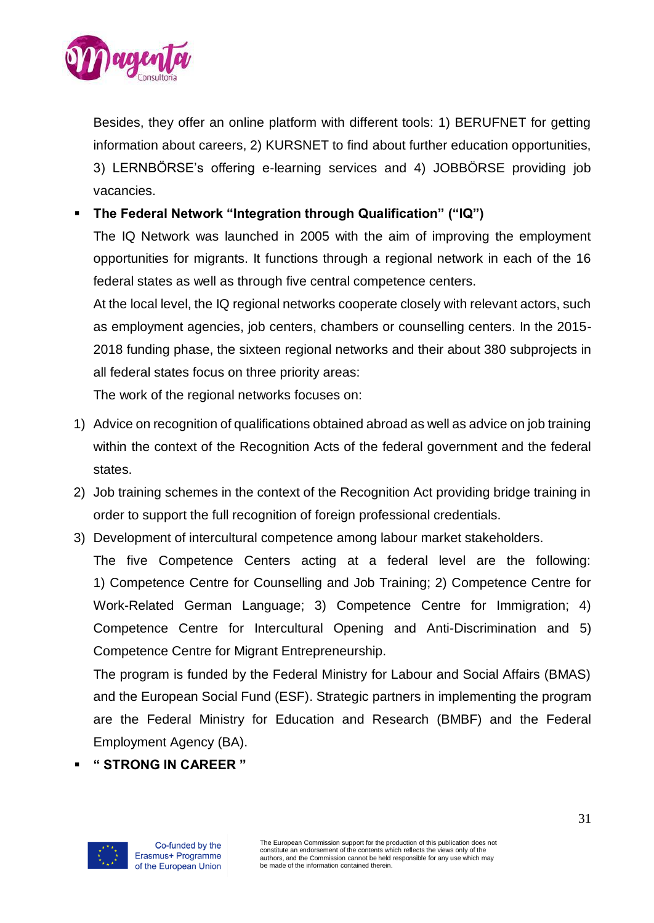

Besides, they offer an online platform with different tools: 1) BERUFNET for getting information about careers, 2) KURSNET to find about further education opportunities, 3) LERNBÖRSE's offering e-learning services and 4) JOBBÖRSE providing job vacancies.

▪ **The Federal Network "Integration through Qualification" ("IQ")**

The IQ Network was launched in 2005 with the aim of improving the employment opportunities for migrants. It functions through a regional network in each of the 16 federal states as well as through five central competence centers.

At the local level, the IQ regional networks cooperate closely with relevant actors, such as employment agencies, job centers, chambers or counselling centers. In the 2015- 2018 funding phase, the sixteen regional networks and their about 380 subprojects in all federal states focus on three priority areas:

The work of the regional networks focuses on:

- 1) Advice on recognition of qualifications obtained abroad as well as advice on job training within the context of the Recognition Acts of the federal government and the federal states.
- 2) Job training schemes in the context of the Recognition Act providing bridge training in order to support the full recognition of foreign professional credentials.
- 3) Development of intercultural competence among labour market stakeholders.

The five Competence Centers acting at a federal level are the following: 1) Competence Centre for Counselling and Job Training; 2) Competence Centre for Work-Related German Language; 3) Competence Centre for Immigration; 4) Competence Centre for Intercultural Opening and Anti-Discrimination and 5) Competence Centre for Migrant Entrepreneurship.

The program is funded by the Federal Ministry for Labour and Social Affairs (BMAS) and the European Social Fund (ESF). Strategic partners in implementing the program are the Federal Ministry for Education and Research (BMBF) and the Federal Employment Agency (BA).

▪ **" STRONG IN CAREER "** 

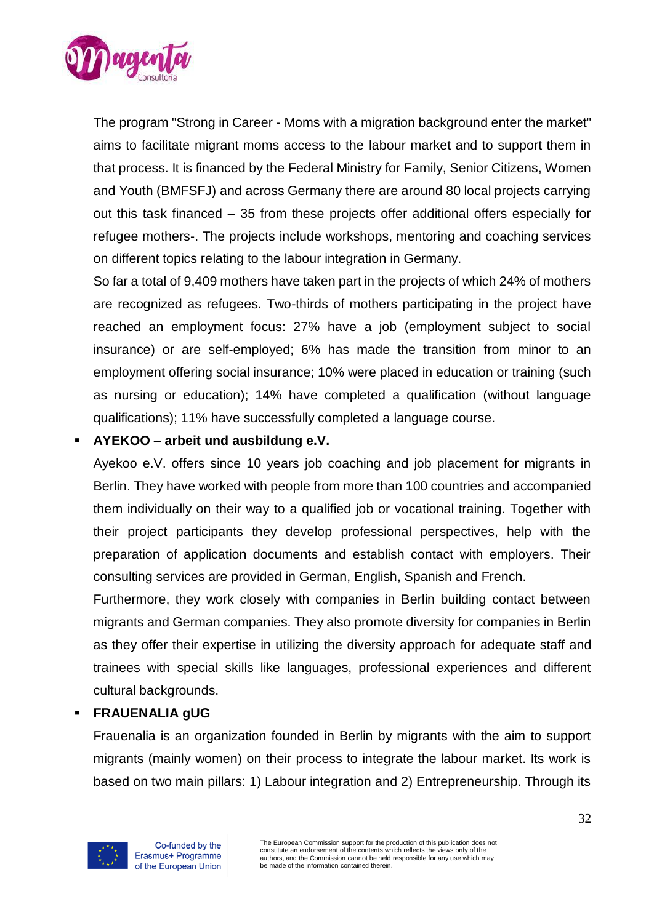

The program "Strong in Career - Moms with a migration background enter the market" aims to facilitate migrant moms access to the labour market and to support them in that process. It is financed by the Federal Ministry for Family, Senior Citizens, Women and Youth (BMFSFJ) and across Germany there are around 80 local projects carrying out this task financed – 35 from these projects offer additional offers especially for refugee mothers-. The projects include workshops, mentoring and coaching services on different topics relating to the labour integration in Germany.

So far a total of 9,409 mothers have taken part in the projects of which 24% of mothers are recognized as refugees. Two-thirds of mothers participating in the project have reached an employment focus: 27% have a job (employment subject to social insurance) or are self-employed; 6% has made the transition from minor to an employment offering social insurance; 10% were placed in education or training (such as nursing or education); 14% have completed a qualification (without language qualifications); 11% have successfully completed a language course.

## ▪ **AYEKOO – arbeit und ausbildung e.V.**

Ayekoo e.V. offers since 10 years job coaching and job placement for migrants in Berlin. They have worked with people from more than 100 countries and accompanied them individually on their way to a qualified job or vocational training. Together with their project participants they develop professional perspectives, help with the preparation of application documents and establish contact with employers. Their consulting services are provided in German, English, Spanish and French.

Furthermore, they work closely with companies in Berlin building contact between migrants and German companies. They also promote diversity for companies in Berlin as they offer their expertise in utilizing the diversity approach for adequate staff and trainees with special skills like languages, professional experiences and different cultural backgrounds.

### ▪ **FRAUENALIA gUG**

Frauenalia is an organization founded in Berlin by migrants with the aim to support migrants (mainly women) on their process to integrate the labour market. Its work is based on two main pillars: 1) Labour integration and 2) Entrepreneurship. Through its

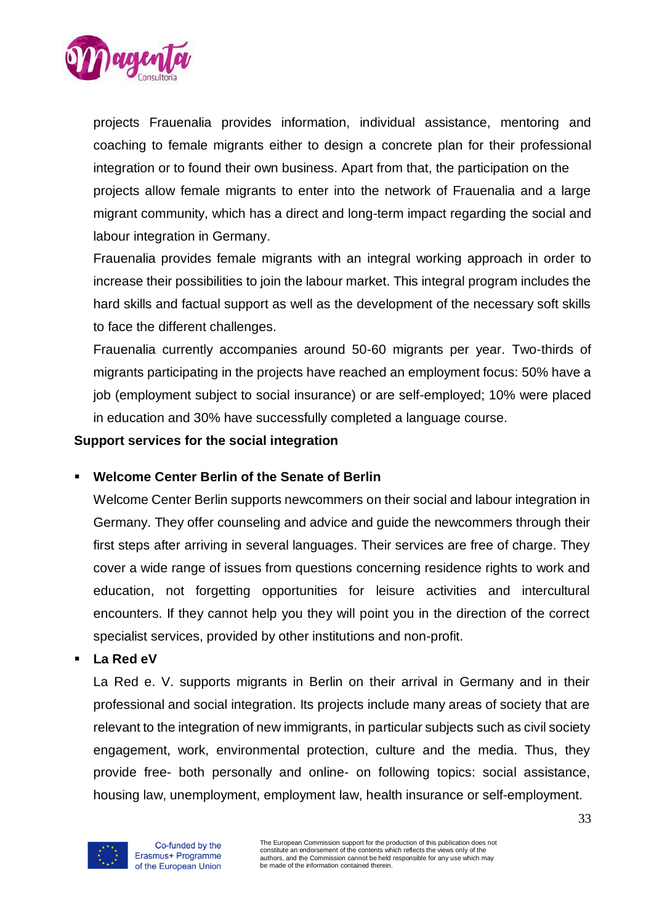

projects Frauenalia provides information, individual assistance, mentoring and coaching to female migrants either to design a concrete plan for their professional integration or to found their own business. Apart from that, the participation on the projects allow female migrants to enter into the network of Frauenalia and a large migrant community, which has a direct and long-term impact regarding the social and labour integration in Germany.

Frauenalia provides female migrants with an integral working approach in order to increase their possibilities to join the labour market. This integral program includes the hard skills and factual support as well as the development of the necessary soft skills to face the different challenges.

Frauenalia currently accompanies around 50-60 migrants per year. Two-thirds of migrants participating in the projects have reached an employment focus: 50% have a job (employment subject to social insurance) or are self-employed; 10% were placed in education and 30% have successfully completed a language course.

#### **Support services for the social integration**

### **Welcome Center Berlin of the Senate of Berlin**

Welcome Center Berlin supports newcommers on their social and labour integration in Germany. They offer counseling and advice and guide the newcommers through their first steps after arriving in several languages. Their services are free of charge. They cover a wide range of issues from questions concerning residence rights to work and education, not forgetting opportunities for leisure activities and intercultural encounters. If they cannot help you they will point you in the direction of the correct specialist services, provided by other institutions and non-profit.

#### ▪ **La Red eV**

La Red e. V. supports migrants in Berlin on their arrival in Germany and in their professional and social integration. Its projects include many areas of society that are relevant to the integration of new immigrants, in particular subjects such as civil society engagement, work, environmental protection, culture and the media. Thus, they provide free- both personally and online- on following topics: social assistance, housing law, unemployment, employment law, health insurance or self-employment.

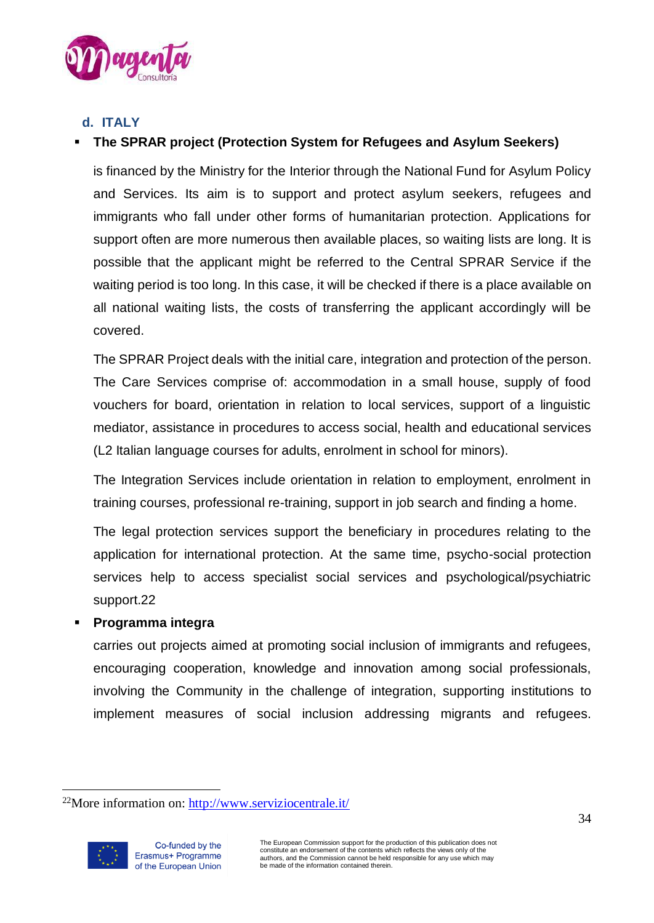

# <span id="page-33-0"></span>**d. ITALY**

# **The SPRAR project (Protection System for Refugees and Asylum Seekers)**

is financed by the Ministry for the Interior through the National Fund for Asylum Policy and Services. Its aim is to support and protect asylum seekers, refugees and immigrants who fall under other forms of humanitarian protection. Applications for support often are more numerous then available places, so waiting lists are long. It is possible that the applicant might be referred to the Central SPRAR Service if the waiting period is too long. In this case, it will be checked if there is a place available on all national waiting lists, the costs of transferring the applicant accordingly will be covered.

The SPRAR Project deals with the initial care, integration and protection of the person. The Care Services comprise of: accommodation in a small house, supply of food vouchers for board, orientation in relation to local services, support of a linguistic mediator, assistance in procedures to access social, health and educational services (L2 Italian language courses for adults, enrolment in school for minors).

The Integration Services include orientation in relation to employment, enrolment in training courses, professional re-training, support in job search and finding a home.

The legal protection services support the beneficiary in procedures relating to the application for international protection. At the same time, psycho-social protection services help to access specialist social services and psychological/psychiatric support.22

### ▪ **Programma integra**

carries out projects aimed at promoting social inclusion of immigrants and refugees, encouraging cooperation, knowledge and innovation among social professionals, involving the Community in the challenge of integration, supporting institutions to implement measures of social inclusion addressing migrants and refugees.

 $22$ More information on:<http://www.serviziocentrale.it/>

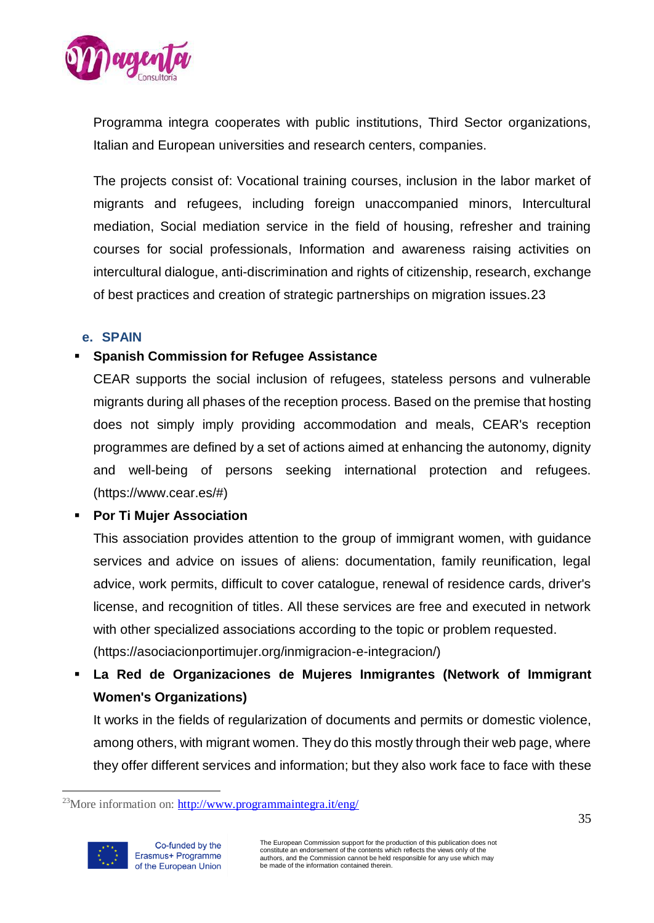

Programma integra cooperates with public institutions, Third Sector organizations, Italian and European universities and research centers, companies.

The projects consist of: Vocational training courses, inclusion in the labor market of migrants and refugees, including foreign unaccompanied minors, Intercultural mediation, Social mediation service in the field of housing, refresher and training courses for social professionals, Information and awareness raising activities on intercultural dialogue, anti-discrimination and rights of citizenship, research, exchange of best practices and creation of strategic partnerships on migration issues.23

### <span id="page-34-0"></span>**e. SPAIN**

## **Spanish Commission for Refugee Assistance**

CEAR supports the social inclusion of refugees, stateless persons and vulnerable migrants during all phases of the reception process. Based on the premise that hosting does not simply imply providing accommodation and meals, CEAR's reception programmes are defined by a set of actions aimed at enhancing the autonomy, dignity and well-being of persons seeking international protection and refugees. (https://www.cear.es/#)

### ▪ **Por Ti Mujer Association**

This association provides attention to the group of immigrant women, with guidance services and advice on issues of aliens: documentation, family reunification, legal advice, work permits, difficult to cover catalogue, renewal of residence cards, driver's license, and recognition of titles. All these services are free and executed in network with other specialized associations according to the topic or problem requested. (https://asociacionportimujer.org/inmigracion-e-integracion/)

La Red de Organizaciones de Mujeres Inmigrantes (Network of Immigrant **Women's Organizations)** 

It works in the fields of regularization of documents and permits or domestic violence, among others, with migrant women. They do this mostly through their web page, where they offer different services and information; but they also work face to face with these

 $\overline{a}$  $^{23}$ More information on: <http://www.programmaintegra.it/eng/>

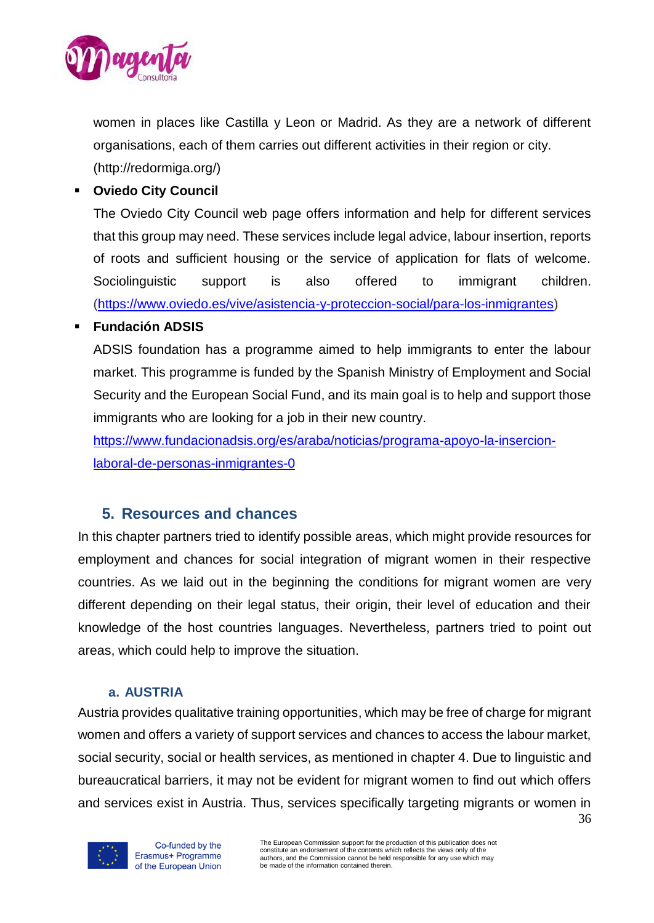

women in places like Castilla y Leon or Madrid. As they are a network of different organisations, each of them carries out different activities in their region or city. (http://redormiga.org/)

▪ **Oviedo City Council**

The Oviedo City Council web page offers information and help for different services that this group may need. These services include legal advice, labour insertion, reports of roots and sufficient housing or the service of application for flats of welcome. Sociolinguistic support is also offered to immigrant children. [\(https://www.oviedo.es/vive/asistencia-y-proteccion-social/para-los-inmigrantes\)](https://www.oviedo.es/vive/asistencia-y-proteccion-social/para-los-inmigrantes)

### ▪ **Fundación ADSIS**

ADSIS foundation has a programme aimed to help immigrants to enter the labour market. This programme is funded by the Spanish Ministry of Employment and Social Security and the European Social Fund, and its main goal is to help and support those immigrants who are looking for a job in their new country.

[https://www.fundacionadsis.org/es/araba/noticias/programa-apoyo-la-insercion](https://www.fundacionadsis.org/es/araba/noticias/programa-apoyo-la-insercion-laboral-de-personas-inmigrantes-0)[laboral-de-personas-inmigrantes-0](https://www.fundacionadsis.org/es/araba/noticias/programa-apoyo-la-insercion-laboral-de-personas-inmigrantes-0)

# <span id="page-35-0"></span>**5. Resources and chances**

In this chapter partners tried to identify possible areas, which might provide resources for employment and chances for social integration of migrant women in their respective countries. As we laid out in the beginning the conditions for migrant women are very different depending on their legal status, their origin, their level of education and their knowledge of the host countries languages. Nevertheless, partners tried to point out areas, which could help to improve the situation.

### **a. AUSTRIA**

<span id="page-35-1"></span>36 Austria provides qualitative training opportunities, which may be free of charge for migrant women and offers a variety of support services and chances to access the labour market, social security, social or health services, as mentioned in chapter 4. Due to linguistic and bureaucratical barriers, it may not be evident for migrant women to find out which offers and services exist in Austria. Thus, services specifically targeting migrants or women in



Co-funded by the Erasmus+ Programme of the European Union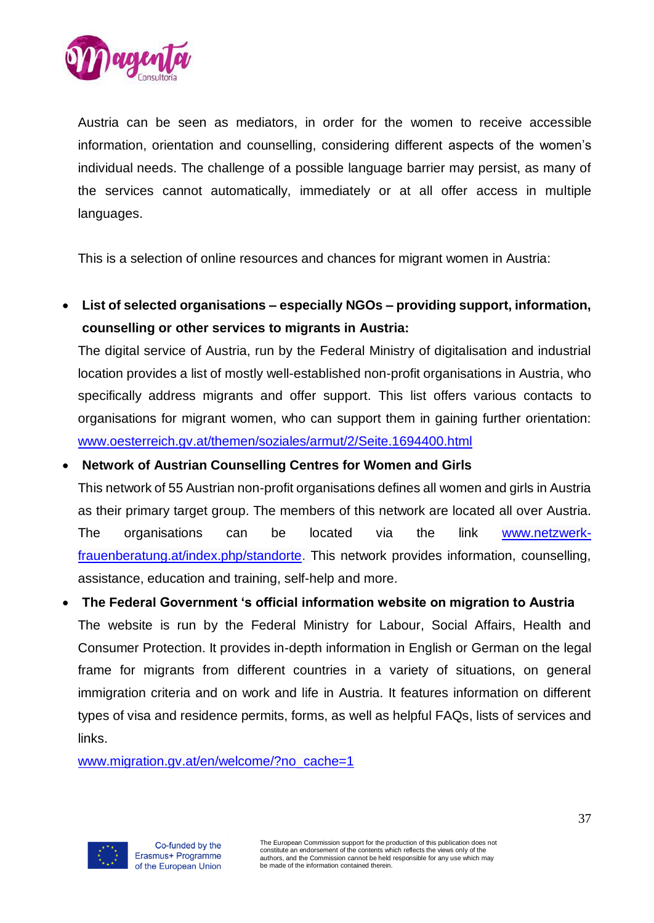

Austria can be seen as mediators, in order for the women to receive accessible information, orientation and counselling, considering different aspects of the women's individual needs. The challenge of a possible language barrier may persist, as many of the services cannot automatically, immediately or at all offer access in multiple languages.

This is a selection of online resources and chances for migrant women in Austria:

• **List of selected organisations – especially NGOs – providing support, information, counselling or other services to migrants in Austria:**

The digital service of Austria, run by the Federal Ministry of digitalisation and industrial location provides a list of mostly well-established non-profit organisations in Austria, who specifically address migrants and offer support. This list offers various contacts to organisations for migrant women, who can support them in gaining further orientation: [www.oesterreich.gv.at/themen/soziales/armut/2/Seite.1694400.html](http://www.oesterreich.gv.at/themen/soziales/armut/2/Seite.1694400.html)

### • **Network of Austrian Counselling Centres for Women and Girls**

This network of 55 Austrian non-profit organisations defines all women and girls in Austria as their primary target group. The members of this network are located all over Austria. The organisations can be located via the link [www.netzwerk](http://www.netzwerk-frauenberatung.at/index.php/standorte)[frauenberatung.at/index.php/standorte.](http://www.netzwerk-frauenberatung.at/index.php/standorte) This network provides information, counselling, assistance, education and training, self-help and more.

### • **The Federal Government 's official information website on migration to Austria**

The website is run by the Federal Ministry for Labour, Social Affairs, Health and Consumer Protection. It provides in-depth information in English or German on the legal frame for migrants from different countries in a variety of situations, on general immigration criteria and on work and life in Austria. It features information on different types of visa and residence permits, forms, as well as helpful FAQs, lists of services and links.

[www.migration.gv.at/en/welcome/?no\\_cache=1](http://www.migration.gv.at/en/welcome/?no_cache=1)

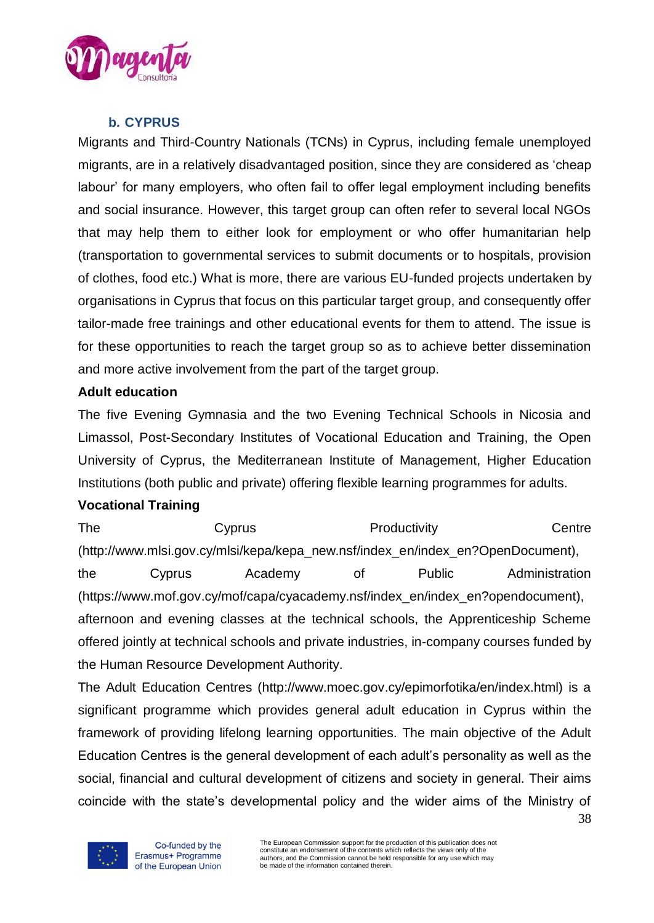

# **b. CYPRUS**

<span id="page-37-0"></span>Migrants and Third-Country Nationals (TCNs) in Cyprus, including female unemployed migrants, are in a relatively disadvantaged position, since they are considered as 'cheap labour' for many employers, who often fail to offer legal employment including benefits and social insurance. However, this target group can often refer to several local NGOs that may help them to either look for employment or who offer humanitarian help (transportation to governmental services to submit documents or to hospitals, provision of clothes, food etc.) What is more, there are various EU-funded projects undertaken by organisations in Cyprus that focus on this particular target group, and consequently offer tailor-made free trainings and other educational events for them to attend. The issue is for these opportunities to reach the target group so as to achieve better dissemination and more active involvement from the part of the target group.

### **Adult education**

The five Evening Gymnasia and the two Evening Technical Schools in Nicosia and Limassol, Post-Secondary Institutes of Vocational Education and Training, the Open University of Cyprus, the Mediterranean Institute of Management, Higher Education Institutions (both public and private) offering flexible learning programmes for adults.

#### **Vocational Training**

The Cyprus Cyprus Productivity Centre (http://www.mlsi.gov.cy/mlsi/kepa/kepa\_new.nsf/index\_en/index\_en?OpenDocument), the Cyprus Academy of Public Administration (https://www.mof.gov.cy/mof/capa/cyacademy.nsf/index\_en/index\_en?opendocument), afternoon and evening classes at the technical schools, the Apprenticeship Scheme offered jointly at technical schools and private industries, in-company courses funded by the Human Resource Development Authority.

The Adult Education Centres (http://www.moec.gov.cy/epimorfotika/en/index.html) is a significant programme which provides general adult education in Cyprus within the framework of providing lifelong learning opportunities. The main objective of the Adult Education Centres is the general development of each adult's personality as well as the social, financial and cultural development of citizens and society in general. Their aims coincide with the state's developmental policy and the wider aims of the Ministry of

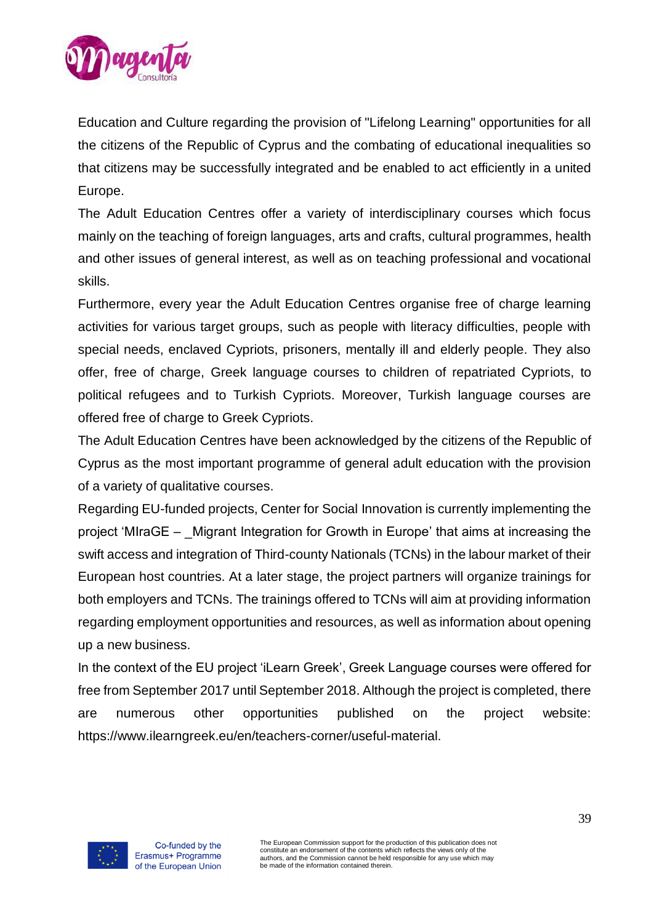

Education and Culture regarding the provision of "Lifelong Learning" opportunities for all the citizens of the Republic of Cyprus and the combating of educational inequalities so that citizens may be successfully integrated and be enabled to act efficiently in a united Europe.

The Adult Education Centres offer a variety of interdisciplinary courses which focus mainly on the teaching of foreign languages, arts and crafts, cultural programmes, health and other issues of general interest, as well as on teaching professional and vocational skills.

Furthermore, every year the Adult Education Centres organise free of charge learning activities for various target groups, such as people with literacy difficulties, people with special needs, enclaved Cypriots, prisoners, mentally ill and elderly people. They also offer, free of charge, Greek language courses to children of repatriated Cypriots, to political refugees and to Turkish Cypriots. Moreover, Turkish language courses are offered free of charge to Greek Cypriots.

The Adult Education Centres have been acknowledged by the citizens of the Republic of Cyprus as the most important programme of general adult education with the provision of a variety of qualitative courses.

Regarding EU-funded projects, Center for Social Innovation is currently implementing the project 'MIraGE – \_Migrant Integration for Growth in Europe' that aims at increasing the swift access and integration of Third-county Nationals (TCNs) in the labour market of their European host countries. At a later stage, the project partners will organize trainings for both employers and TCNs. The trainings offered to TCNs will aim at providing information regarding employment opportunities and resources, as well as information about opening up a new business.

In the context of the EU project 'iLearn Greek', Greek Language courses were offered for free from September 2017 until September 2018. Although the project is completed, there are numerous other opportunities published on the project website: https://www.ilearngreek.eu/en/teachers-corner/useful-material.

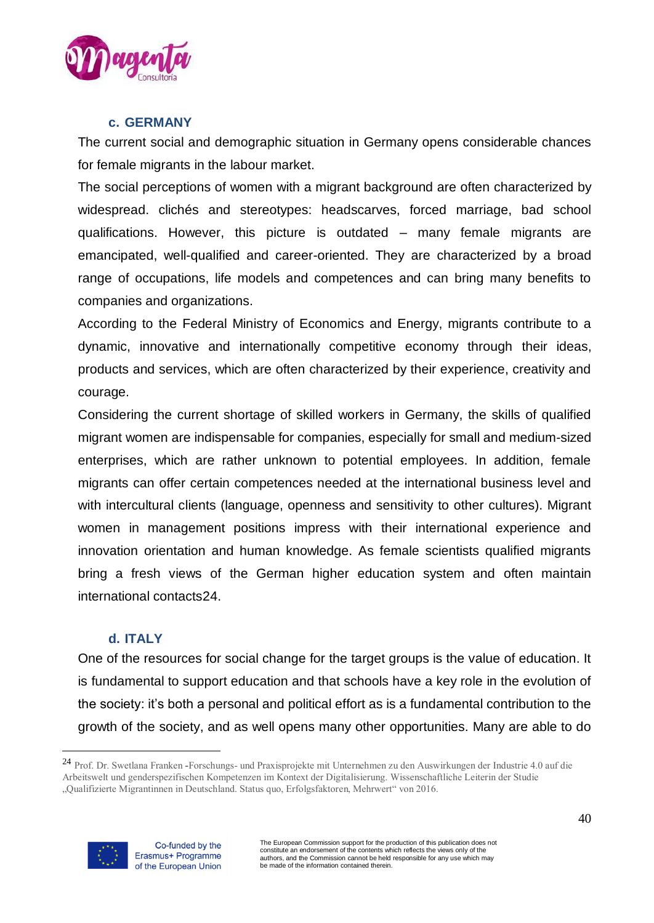

#### **c. GERMANY**

<span id="page-39-0"></span>The current social and demographic situation in Germany opens considerable chances for female migrants in the labour market.

The social perceptions of women with a migrant background are often characterized by widespread. clichés and stereotypes: headscarves, forced marriage, bad school qualifications. However, this picture is outdated – many female migrants are emancipated, well-qualified and career-oriented. They are characterized by a broad range of occupations, life models and competences and can bring many benefits to companies and organizations.

According to the Federal Ministry of Economics and Energy, migrants contribute to a dynamic, innovative and internationally competitive economy through their ideas, products and services, which are often characterized by their experience, creativity and courage.

Considering the current shortage of skilled workers in Germany, the skills of qualified migrant women are indispensable for companies, especially for small and medium-sized enterprises, which are rather unknown to potential employees. In addition, female migrants can offer certain competences needed at the international business level and with intercultural clients (language, openness and sensitivity to other cultures). Migrant women in management positions impress with their international experience and innovation orientation and human knowledge. As female scientists qualified migrants bring a fresh views of the German higher education system and often maintain international contacts24.

#### **d. ITALY**

<span id="page-39-1"></span>One of the resources for social change for the target groups is the value of education. It is fundamental to support education and that schools have a key role in the evolution of the society: it's both a personal and political effort as is a fundamental contribution to the growth of the society, and as well opens many other opportunities. Many are able to do

<sup>24</sup> Prof. Dr. Swetlana Franken **-**Forschungs- und Praxisprojekte mit Unternehmen zu den Auswirkungen der Industrie 4.0 auf die Arbeitswelt und genderspezifischen Kompetenzen im Kontext der Digitalisierung. Wissenschaftliche Leiterin der Studie "Qualifizierte Migrantinnen in Deutschland. Status quo, Erfolgsfaktoren, Mehrwert" von 2016.

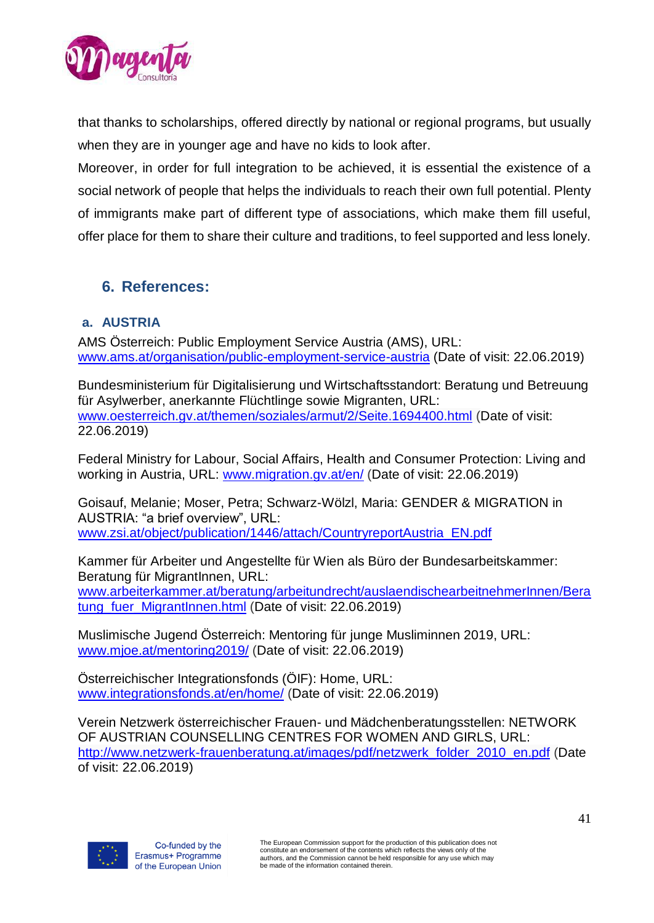

that thanks to scholarships, offered directly by national or regional programs, but usually when they are in younger age and have no kids to look after.

Moreover, in order for full integration to be achieved, it is essential the existence of a social network of people that helps the individuals to reach their own full potential. Plenty of immigrants make part of different type of associations, which make them fill useful, offer place for them to share their culture and traditions, to feel supported and less lonely.

# <span id="page-40-0"></span>**6. References:**

## <span id="page-40-1"></span>**a. AUSTRIA**

AMS Österreich: Public Employment Service Austria (AMS), URL: [www.ams.at/organisation/public-employment-service-austria](http://www.ams.at/organisation/public-employment-service-austria) (Date of visit: 22.06.2019)

Bundesministerium für Digitalisierung und Wirtschaftsstandort: Beratung und Betreuung für Asylwerber, anerkannte Flüchtlinge sowie Migranten, URL: [www.oesterreich.gv.at/themen/soziales/armut/2/Seite.1694400.html](http://www.oesterreich.gv.at/themen/soziales/armut/2/Seite.1694400.html) (Date of visit: 22.06.2019)

Federal Ministry for Labour, Social Affairs, Health and Consumer Protection: Living and working in Austria, URL: [www.migration.gv.at/en/](http://www.migration.gv.at/en/) (Date of visit: 22.06.2019)

Goisauf, Melanie; Moser, Petra; Schwarz-Wölzl, Maria: GENDER & MIGRATION in AUSTRIA: "a brief overview", URL: [www.zsi.at/object/publication/1446/attach/CountryreportAustria\\_EN.pdf](http://www.zsi.at/object/publication/1446/attach/CountryreportAustria_EN.pdf)

Kammer für Arbeiter und Angestellte für Wien als Büro der Bundesarbeitskammer: Beratung für MigrantInnen, URL: [www.arbeiterkammer.at/beratung/arbeitundrecht/auslaendischearbeitnehmerInnen/Bera](http://www.arbeiterkammer.at/beratung/arbeitundrecht/auslaendischearbeitnehmerInnen/Beratung_fuer_MigrantInnen.html) [tung\\_fuer\\_MigrantInnen.html](http://www.arbeiterkammer.at/beratung/arbeitundrecht/auslaendischearbeitnehmerInnen/Beratung_fuer_MigrantInnen.html) (Date of visit: 22.06.2019)

Muslimische Jugend Österreich: Mentoring für junge Musliminnen 2019, URL: [www.mjoe.at/mentoring2019/](http://www.mjoe.at/mentoring2019/) (Date of visit: 22.06.2019)

Österreichischer Integrationsfonds (ÖIF): Home, URL: [www.integrationsfonds.at/en/home/](http://www.integrationsfonds.at/en/home/) (Date of visit: 22.06.2019)

Verein Netzwerk österreichischer Frauen- und Mädchenberatungsstellen: NETWORK OF AUSTRIAN COUNSELLING CENTRES FOR WOMEN AND GIRLS, URL: [http://www.netzwerk-frauenberatung.at/images/pdf/netzwerk\\_folder\\_2010\\_en.pdf](http://www.netzwerk-frauenberatung.at/images/pdf/netzwerk_folder_2010_en.pdf) (Date of visit: 22.06.2019)

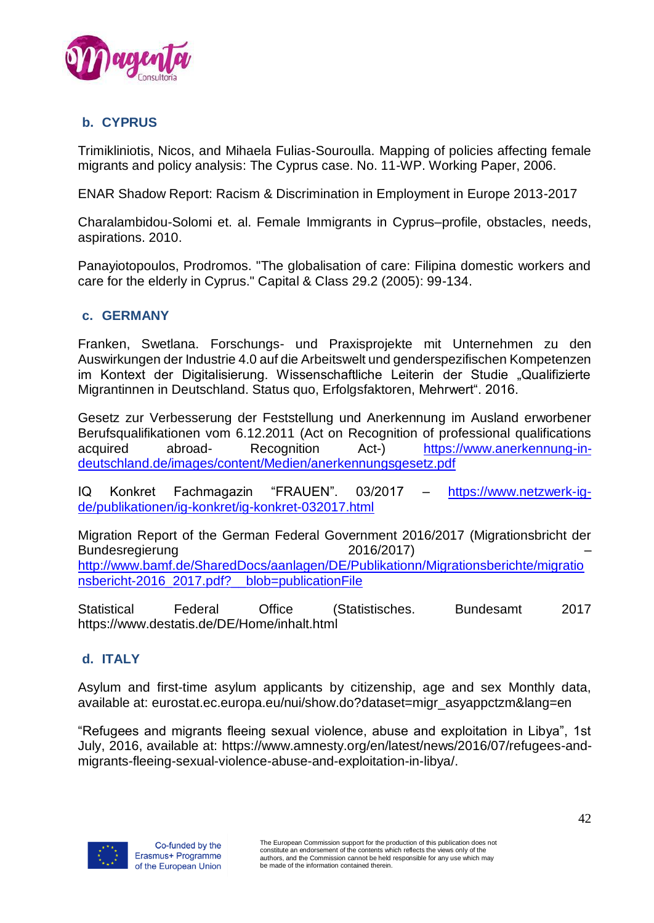

## <span id="page-41-0"></span>**b. CYPRUS**

Trimikliniotis, Nicos, and Mihaela Fulias-Souroulla. Mapping of policies affecting female migrants and policy analysis: The Cyprus case. No. 11-WP. Working Paper, 2006.

ENAR Shadow Report: Racism & Discrimination in Employment in Europe 2013-2017

Charalambidou-Solomi et. al. Female Immigrants in Cyprus–profile, obstacles, needs, aspirations. 2010.

Panayiotopoulos, Prodromos. "The globalisation of care: Filipina domestic workers and care for the elderly in Cyprus." Capital & Class 29.2 (2005): 99-134.

#### <span id="page-41-1"></span>**c. GERMANY**

Franken, Swetlana. Forschungs- und Praxisprojekte mit Unternehmen zu den Auswirkungen der Industrie 4.0 auf die Arbeitswelt und genderspezifischen Kompetenzen im Kontext der Digitalisierung. Wissenschaftliche Leiterin der Studie "Qualifizierte Migrantinnen in Deutschland. Status quo, Erfolgsfaktoren, Mehrwert". 2016.

Gesetz zur Verbesserung der Feststellung und Anerkennung im Ausland erworbener Berufsqualifikationen vom 6.12.2011 (Act on Recognition of professional qualifications acquired abroad- Recognition Act-) [https://www.anerkennung-in](https://www.anerkennung-in-deutschland.de/images/content/Medien/anerkennungsgesetz.pdf)[deutschland.de/images/content/Medien/anerkennungsgesetz.pdf](https://www.anerkennung-in-deutschland.de/images/content/Medien/anerkennungsgesetz.pdf)

IQ Konkret Fachmagazin "FRAUEN". 03/2017 – [https://www.netzwerk-ig](https://www.netzwerk-ig-de/publikationen/ig-konkret/ig-konkret-032017.html)[de/publikationen/ig-konkret/ig-konkret-032017.html](https://www.netzwerk-ig-de/publikationen/ig-konkret/ig-konkret-032017.html)

Migration Report of the German Federal Government 2016/2017 (Migrationsbricht der Bundesregierung 2016/2017) [http://www.bamf.de/SharedDocs/aanlagen/DE/Publikationn/Migrationsberichte/migratio](http://www.bamf.de/SharedDocs/aanlagen/DE/Publikationn/Migrationsberichte/migrationsbericht-2016_2017.pdf?__blob=publicationFile) [nsbericht-2016\\_2017.pdf?\\_\\_blob=publicationFile](http://www.bamf.de/SharedDocs/aanlagen/DE/Publikationn/Migrationsberichte/migrationsbericht-2016_2017.pdf?__blob=publicationFile)

Statistical Federal Office (Statistisches. Bundesamt 2017 https://www.destatis.de/DE/Home/inhalt.html

### <span id="page-41-2"></span>**d. ITALY**

Asylum and first-time asylum applicants by citizenship, age and sex Monthly data, available at: eurostat.ec.europa.eu/nui/show.do?dataset=migr\_asyappctzm&lang=en

"Refugees and migrants fleeing sexual violence, abuse and exploitation in Libya", 1st July, 2016, available at: [https://www.amnesty.org/en/latest/news/2016/07/refugees-and](https://www.amnesty.org/en/latest/news/2016/07/refugees-and-migrants-fleeing-sexual-violence-abuse-and-exploitation-in-libya/)[migrants-fleeing-sexual-violence-abuse-and-exploitation-in-libya/.](https://www.amnesty.org/en/latest/news/2016/07/refugees-and-migrants-fleeing-sexual-violence-abuse-and-exploitation-in-libya/)